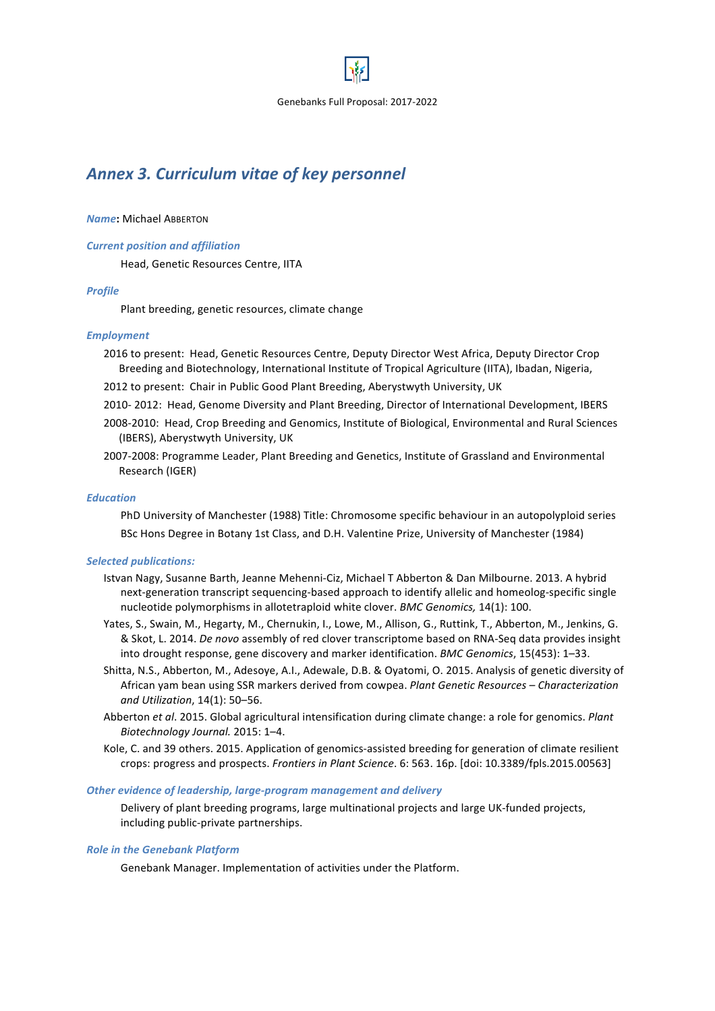

# Annex 3. Curriculum vitae of key personnel

### *Name***:** Michael ABBERTON

### *Current position and affiliation*

Head, Genetic Resources Centre, IITA

# *Profile*

Plant breeding, genetic resources, climate change

# *Employment*

2016 to present: Head, Genetic Resources Centre, Deputy Director West Africa, Deputy Director Crop Breeding and Biotechnology, International Institute of Tropical Agriculture (IITA), Ibadan, Nigeria,

2012 to present: Chair in Public Good Plant Breeding, Aberystwyth University, UK

- 2010- 2012: Head, Genome Diversity and Plant Breeding, Director of International Development, IBERS
- 2008-2010: Head, Crop Breeding and Genomics, Institute of Biological, Environmental and Rural Sciences (IBERS), Aberystwyth University, UK
- 2007-2008: Programme Leader, Plant Breeding and Genetics, Institute of Grassland and Environmental Research (IGER)

# *Education*

PhD University of Manchester (1988) Title: Chromosome specific behaviour in an autopolyploid series BSc Hons Degree in Botany 1st Class, and D.H. Valentine Prize, University of Manchester (1984)

# **Selected publications:**

- Istvan Nagy, Susanne Barth, Jeanne Mehenni-Ciz, Michael T Abberton & Dan Milbourne. 2013. A hybrid next-generation transcript sequencing-based approach to identify allelic and homeolog-specific single nucleotide polymorphisms in allotetraploid white clover. *BMC Genomics*, 14(1): 100.
- Yates, S., Swain, M., Hegarty, M., Chernukin, I., Lowe, M., Allison, G., Ruttink, T., Abberton, M., Jenkins, G. & Skot, L. 2014. *De novo* assembly of red clover transcriptome based on RNA-Seq data provides insight into drought response, gene discovery and marker identification. *BMC Genomics*, 15(453): 1–33.
- Shitta, N.S., Abberton, M., Adesoye, A.I., Adewale, D.B. & Oyatomi, O. 2015. Analysis of genetic diversity of African yam bean using SSR markers derived from cowpea. *Plant Genetic Resources* – *Characterization and Utilization*, 14(1): 50–56.
- Abberton *et al.* 2015. Global agricultural intensification during climate change: a role for genomics. *Plant Biotechnology Journal.* 2015: 1–4.
- Kole, C. and 39 others. 2015. Application of genomics-assisted breeding for generation of climate resilient crops: progress and prospects. Frontiers in Plant Science. 6: 563. 16p. [doi: 10.3389/fpls.2015.00563]

### **Other evidence of leadership, large-program management and delivery**

Delivery of plant breeding programs, large multinational projects and large UK-funded projects, including public-private partnerships.

### **Role in the Genebank Platform**

Genebank Manager. Implementation of activities under the Platform.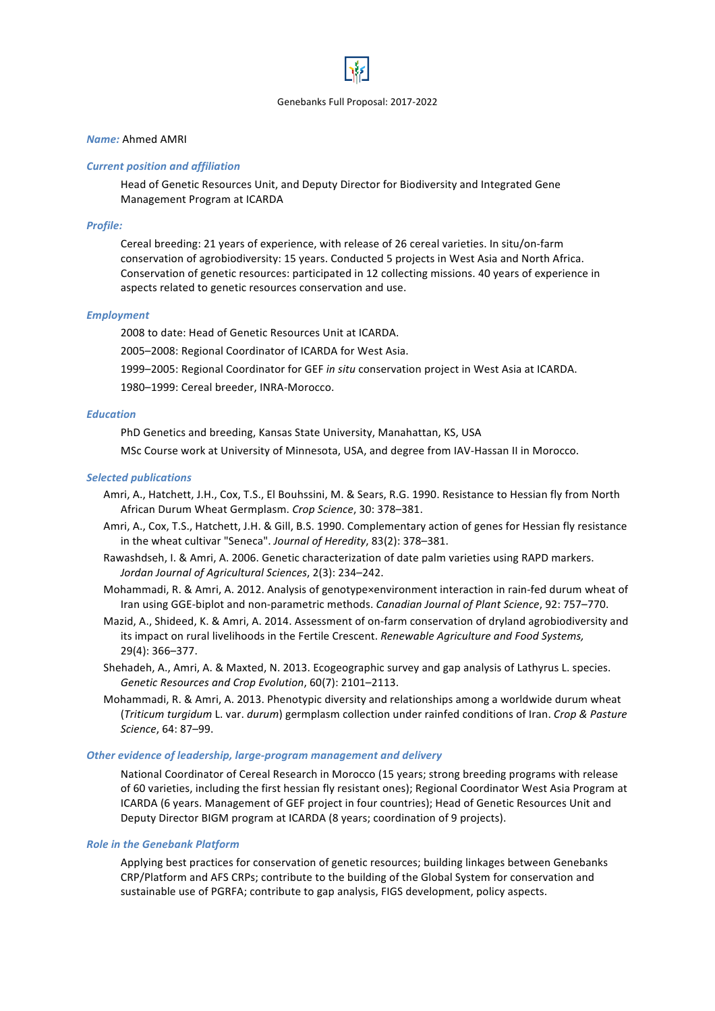

### *Name:* Ahmed AMRI

### *Current position and affiliation*

Head of Genetic Resources Unit, and Deputy Director for Biodiversity and Integrated Gene Management Program at ICARDA

# *Profile:*

Cereal breeding: 21 years of experience, with release of 26 cereal varieties. In situ/on-farm conservation of agrobiodiversity: 15 years. Conducted 5 projects in West Asia and North Africa. Conservation of genetic resources: participated in 12 collecting missions. 40 years of experience in aspects related to genetic resources conservation and use.

### *Employment*

2008 to date: Head of Genetic Resources Unit at ICARDA.

2005–2008: Regional Coordinator of ICARDA for West Asia.

1999-2005: Regional Coordinator for GEF in situ conservation project in West Asia at ICARDA.

1980-1999: Cereal breeder, INRA-Morocco.

# *Education*

PhD Genetics and breeding, Kansas State University, Manahattan, KS, USA

MSc Course work at University of Minnesota, USA, and degree from IAV-Hassan II in Morocco.

# *Selected publications*

- Amri, A., Hatchett, J.H., Cox, T.S., El Bouhssini, M. & Sears, R.G. 1990. Resistance to Hessian fly from North African Durum Wheat Germplasm. Crop Science, 30: 378-381.
- Amri, A., Cox, T.S., Hatchett, J.H. & Gill, B.S. 1990. Complementary action of genes for Hessian fly resistance in the wheat cultivar "Seneca". *Journal of Heredity*, 83(2): 378–381.
- Rawashdseh, I. & Amri, A. 2006. Genetic characterization of date palm varieties using RAPD markers. *Jordan Journal of Agricultural Sciences*, 2(3): 234–242.
- Mohammadi, R. & Amri, A. 2012. Analysis of genotype×environment interaction in rain-fed durum wheat of Iran using GGE-biplot and non-parametric methods. *Canadian Journal of Plant Science*, 92: 757–770.
- Mazid, A., Shideed, K. & Amri, A. 2014. Assessment of on-farm conservation of dryland agrobiodiversity and its impact on rural livelihoods in the Fertile Crescent. *Renewable Agriculture and Food Systems*, 29(4): 366–377.
- Shehadeh, A., Amri, A. & Maxted, N. 2013. Ecogeographic survey and gap analysis of Lathyrus L. species. *Genetic Resources and Crop Evolution*, 60(7): 2101–2113.
- Mohammadi, R. & Amri, A. 2013. Phenotypic diversity and relationships among a worldwide durum wheat (*Triticum turgidum* L. var. *durum*) germplasm collection under rainfed conditions of Iran. *Crop & Pasture Science*, 64: 87–99.

### **Other evidence of leadership, large-program management and delivery**

National Coordinator of Cereal Research in Morocco (15 years; strong breeding programs with release of 60 varieties, including the first hessian fly resistant ones); Regional Coordinator West Asia Program at ICARDA (6 years. Management of GEF project in four countries); Head of Genetic Resources Unit and Deputy Director BIGM program at ICARDA (8 years; coordination of 9 projects).

### **Role in the Genebank Platform**

Applying best practices for conservation of genetic resources; building linkages between Genebanks CRP/Platform and AFS CRPs; contribute to the building of the Global System for conservation and sustainable use of PGRFA; contribute to gap analysis, FIGS development, policy aspects.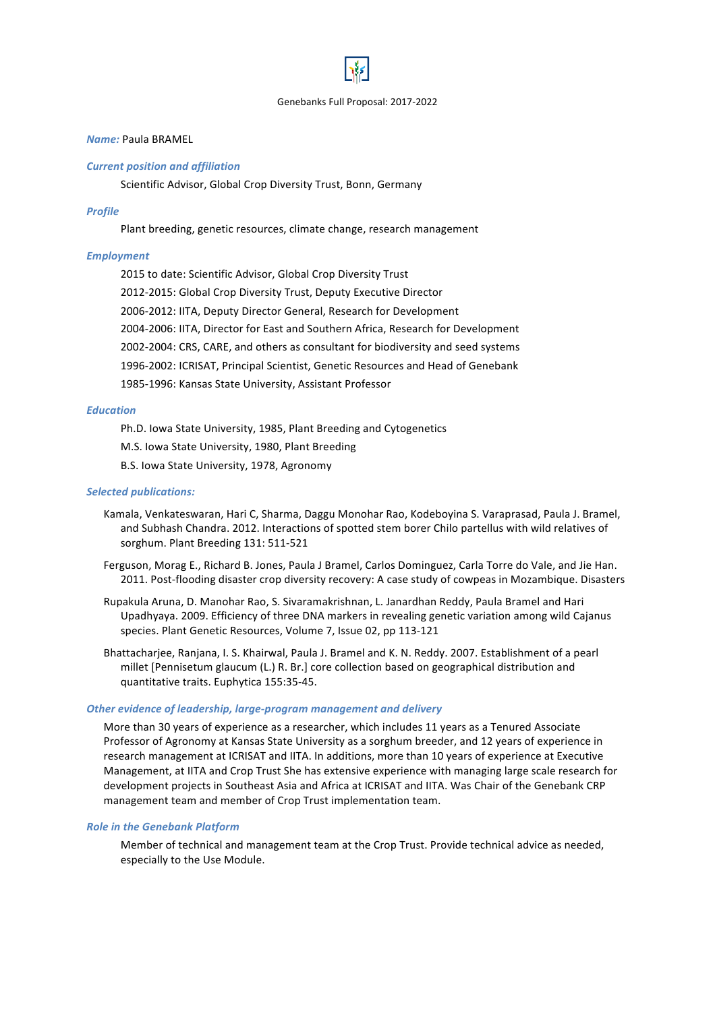# *Name:* Paula BRAMEL

#### *Current position and affiliation*

Scientific Advisor, Global Crop Diversity Trust, Bonn, Germany

#### *Profile*

Plant breeding, genetic resources, climate change, research management

### *Employment*

2015 to date: Scientific Advisor, Global Crop Diversity Trust 2012-2015: Global Crop Diversity Trust, Deputy Executive Director 2006-2012: IITA, Deputy Director General, Research for Development 2004-2006: IITA, Director for East and Southern Africa, Research for Development 2002-2004: CRS, CARE, and others as consultant for biodiversity and seed systems 1996-2002: ICRISAT, Principal Scientist, Genetic Resources and Head of Genebank 1985-1996: Kansas State University, Assistant Professor

#### *Education*

Ph.D. Iowa State University, 1985, Plant Breeding and Cytogenetics

- M.S. Iowa State University, 1980, Plant Breeding
- B.S. Iowa State University, 1978, Agronomy

#### **Selected publications:**

- Kamala, Venkateswaran, Hari C, Sharma, Daggu Monohar Rao, Kodeboyina S. Varaprasad, Paula J. Bramel, and Subhash Chandra. 2012. Interactions of spotted stem borer Chilo partellus with wild relatives of sorghum. Plant Breeding 131: 511-521
- Ferguson, Morag E., Richard B. Jones, Paula J Bramel, Carlos Dominguez, Carla Torre do Vale, and Jie Han. 2011. Post-flooding disaster crop diversity recovery: A case study of cowpeas in Mozambique. Disasters
- Rupakula Aruna, D. Manohar Rao, S. Sivaramakrishnan, L. Janardhan Reddy, Paula Bramel and Hari Upadhyaya. 2009. Efficiency of three DNA markers in revealing genetic variation among wild Cajanus species. Plant Genetic Resources, Volume 7, Issue 02, pp 113-121
- Bhattacharjee, Ranjana, I. S. Khairwal, Paula J. Bramel and K. N. Reddy. 2007. Establishment of a pearl millet [Pennisetum glaucum (L.) R. Br.] core collection based on geographical distribution and quantitative traits. Euphytica 155:35-45.

#### **Other evidence of leadership, large-program management and delivery**

More than 30 years of experience as a researcher, which includes 11 years as a Tenured Associate Professor of Agronomy at Kansas State University as a sorghum breeder, and 12 years of experience in research management at ICRISAT and IITA. In additions, more than 10 years of experience at Executive Management, at IITA and Crop Trust She has extensive experience with managing large scale research for development projects in Southeast Asia and Africa at ICRISAT and IITA. Was Chair of the Genebank CRP management team and member of Crop Trust implementation team.

#### **Role in the Genebank Platform**

Member of technical and management team at the Crop Trust. Provide technical advice as needed, especially to the Use Module.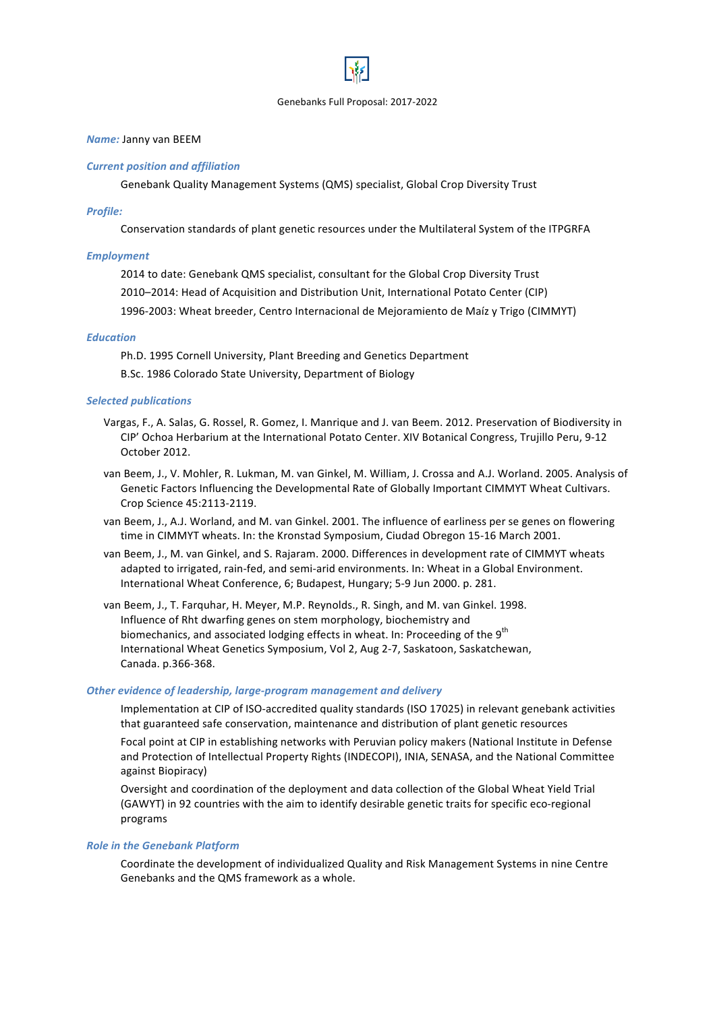### **Name:** Janny van BEEM

#### *Current position and affiliation*

Genebank Quality Management Systems (QMS) specialist, Global Crop Diversity Trust

#### *Profile:*

Conservation standards of plant genetic resources under the Multilateral System of the ITPGRFA

### *Employment*

2014 to date: Genebank QMS specialist, consultant for the Global Crop Diversity Trust 2010–2014: Head of Acquisition and Distribution Unit, International Potato Center (CIP) 1996-2003: Wheat breeder, Centro Internacional de Mejoramiento de Maíz y Trigo (CIMMYT)

#### *Education*

Ph.D. 1995 Cornell University, Plant Breeding and Genetics Department

B.Sc. 1986 Colorado State University, Department of Biology

### *Selected publications*

- Vargas, F., A. Salas, G. Rossel, R. Gomez, I. Manrique and J. van Beem. 2012. Preservation of Biodiversity in CIP' Ochoa Herbarium at the International Potato Center. XIV Botanical Congress, Trujillo Peru, 9-12 October 2012
- van Beem, J., V. Mohler, R. Lukman, M. van Ginkel, M. William, J. Crossa and A.J. Worland. 2005. Analysis of Genetic Factors Influencing the Developmental Rate of Globally Important CIMMYT Wheat Cultivars. Crop Science 45:2113-2119.
- van Beem, J., A.J. Worland, and M. van Ginkel. 2001. The influence of earliness per se genes on flowering time in CIMMYT wheats. In: the Kronstad Symposium, Ciudad Obregon 15-16 March 2001.
- van Beem, J., M. van Ginkel, and S. Rajaram. 2000. Differences in development rate of CIMMYT wheats adapted to irrigated, rain-fed, and semi-arid environments. In: Wheat in a Global Environment. International Wheat Conference, 6; Budapest, Hungary; 5-9 Jun 2000. p. 281.
- van Beem, J., T. Farquhar, H. Meyer, M.P. Reynolds., R. Singh, and M. van Ginkel. 1998. Influence of Rht dwarfing genes on stem morphology, biochemistry and biomechanics, and associated lodging effects in wheat. In: Proceeding of the  $9^{th}$ International Wheat Genetics Symposium, Vol 2, Aug 2-7, Saskatoon, Saskatchewan, Canada. p.366-368.

### **Other evidence of leadership, large-program management and delivery**

Implementation at CIP of ISO-accredited quality standards (ISO 17025) in relevant genebank activities that guaranteed safe conservation, maintenance and distribution of plant genetic resources

Focal point at CIP in establishing networks with Peruvian policy makers (National Institute in Defense and Protection of Intellectual Property Rights (INDECOPI), INIA, SENASA, and the National Committee against Biopiracy)

Oversight and coordination of the deployment and data collection of the Global Wheat Yield Trial (GAWYT) in 92 countries with the aim to identify desirable genetic traits for specific eco-regional programs

### **Role in the Genebank Platform**

Coordinate the development of individualized Quality and Risk Management Systems in nine Centre Genebanks and the QMS framework as a whole.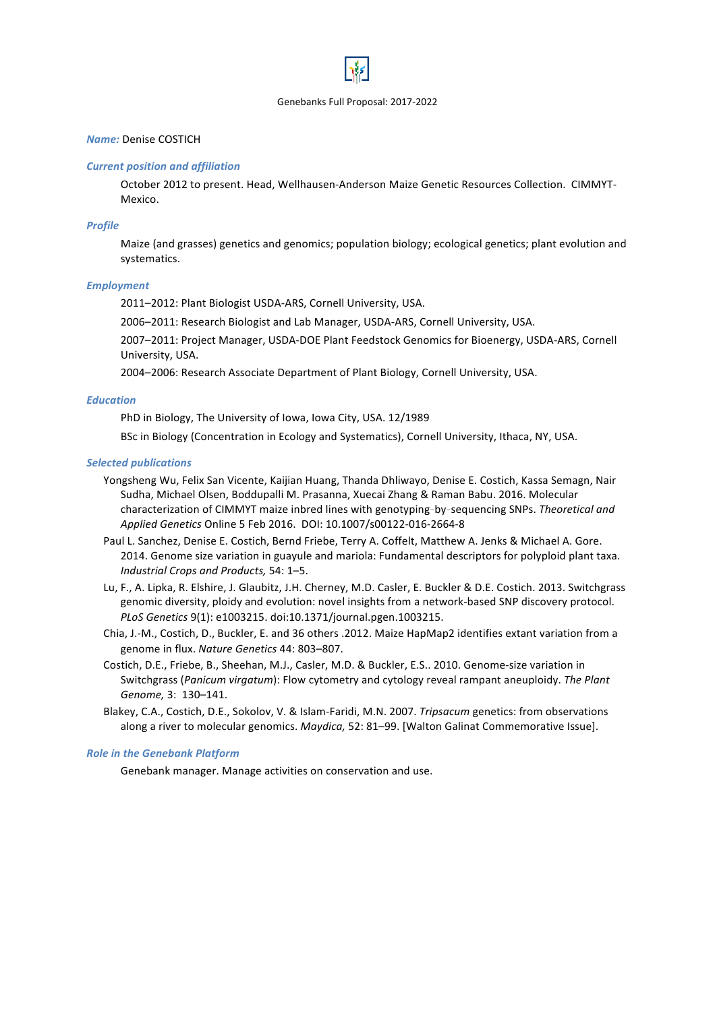# *Name:* Denise COSTICH

#### *Current position and affiliation*

October 2012 to present. Head, Wellhausen-Anderson Maize Genetic Resources Collection. CIMMYT-Mexico. 

#### *Profile*

Maize (and grasses) genetics and genomics; population biology; ecological genetics; plant evolution and systematics.

#### *Employment*

2011-2012: Plant Biologist USDA-ARS, Cornell University, USA.

2006-2011: Research Biologist and Lab Manager, USDA-ARS, Cornell University, USA.

2007-2011: Project Manager, USDA-DOE Plant Feedstock Genomics for Bioenergy, USDA-ARS, Cornell University, USA.

2004-2006: Research Associate Department of Plant Biology, Cornell University, USA.

### *Education*

PhD in Biology, The University of Iowa, Iowa City, USA, 12/1989

BSc in Biology (Concentration in Ecology and Systematics), Cornell University, Ithaca, NY, USA.

#### *Selected publications*

- Yongsheng Wu, Felix San Vicente, Kaijian Huang, Thanda Dhliwayo, Denise E. Costich, Kassa Semagn, Nair Sudha, Michael Olsen, Boddupalli M. Prasanna, Xuecai Zhang & Raman Babu. 2016. Molecular characterization of CIMMYT maize inbred lines with genotyping-by-sequencing SNPs. Theoretical and *Applied Genetics* Online 5 Feb 2016. DOI: 10.1007/s00122-016-2664-8
- Paul L. Sanchez, Denise E. Costich, Bernd Friebe, Terry A. Coffelt, Matthew A. Jenks & Michael A. Gore. 2014. Genome size variation in guayule and mariola: Fundamental descriptors for polyploid plant taxa. *Industrial Crops and Products,* 54: 1–5.
- Lu, F., A. Lipka, R. Elshire, J. Glaubitz, J.H. Cherney, M.D. Casler, E. Buckler & D.E. Costich. 2013. Switchgrass genomic diversity, ploidy and evolution: novel insights from a network-based SNP discovery protocol. *PLoS Genetics* 9(1): e1003215. doi:10.1371/journal.pgen.1003215.
- Chia, J.-M., Costich, D., Buckler, E. and 36 others .2012. Maize HapMap2 identifies extant variation from a genome in flux. Nature Genetics 44: 803-807.
- Costich, D.E., Friebe, B., Sheehan, M.J., Casler, M.D. & Buckler, E.S.. 2010. Genome-size variation in Switchgrass (Panicum virgatum): Flow cytometry and cytology reveal rampant aneuploidy. The Plant *Genome,* 3: 130–141.
- Blakey, C.A., Costich, D.E., Sokolov, V. & Islam-Faridi, M.N. 2007. *Tripsacum* genetics: from observations along a river to molecular genomics. *Maydica,* 52: 81-99. [Walton Galinat Commemorative Issue].

### **Role in the Genebank Platform**

Genebank manager. Manage activities on conservation and use.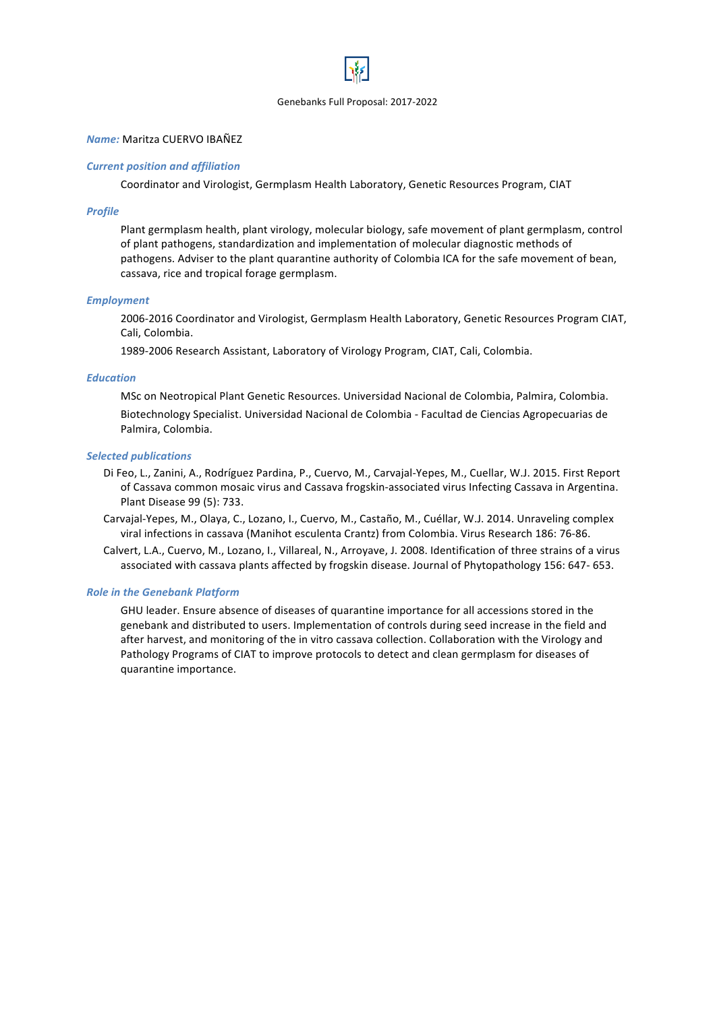# *Name:* Maritza CUERVO IBAÑEZ

### *Current position and affiliation*

Coordinator and Virologist, Germplasm Health Laboratory, Genetic Resources Program, CIAT

#### *Profile*

Plant germplasm health, plant virology, molecular biology, safe movement of plant germplasm, control of plant pathogens, standardization and implementation of molecular diagnostic methods of pathogens. Adviser to the plant quarantine authority of Colombia ICA for the safe movement of bean, cassava, rice and tropical forage germplasm.

#### *Employment*

2006-2016 Coordinator and Virologist, Germplasm Health Laboratory, Genetic Resources Program CIAT, Cali, Colombia.

1989-2006 Research Assistant, Laboratory of Virology Program, CIAT, Cali, Colombia.

### *Education*

MSc on Neotropical Plant Genetic Resources. Universidad Nacional de Colombia, Palmira, Colombia. Biotechnology Specialist. Universidad Nacional de Colombia - Facultad de Ciencias Agropecuarias de Palmira, Colombia.

#### *Selected publications*

- Di Feo, L., Zanini, A., Rodríguez Pardina, P., Cuervo, M., Carvajal-Yepes, M., Cuellar, W.J. 2015. First Report of Cassava common mosaic virus and Cassava frogskin-associated virus Infecting Cassava in Argentina. Plant Disease 99 (5): 733.
- Carvajal-Yepes, M., Olaya, C., Lozano, I., Cuervo, M., Castaño, M., Cuéllar, W.J. 2014. Unraveling complex viral infections in cassava (Manihot esculenta Crantz) from Colombia. Virus Research 186: 76-86.
- Calvert, L.A., Cuervo, M., Lozano, I., Villareal, N., Arroyave, J. 2008. Identification of three strains of a virus associated with cassava plants affected by frogskin disease. Journal of Phytopathology 156: 647- 653.

#### **Role in the Genebank Platform**

GHU leader. Ensure absence of diseases of quarantine importance for all accessions stored in the genebank and distributed to users. Implementation of controls during seed increase in the field and after harvest, and monitoring of the in vitro cassava collection. Collaboration with the Virology and Pathology Programs of CIAT to improve protocols to detect and clean germplasm for diseases of quarantine importance.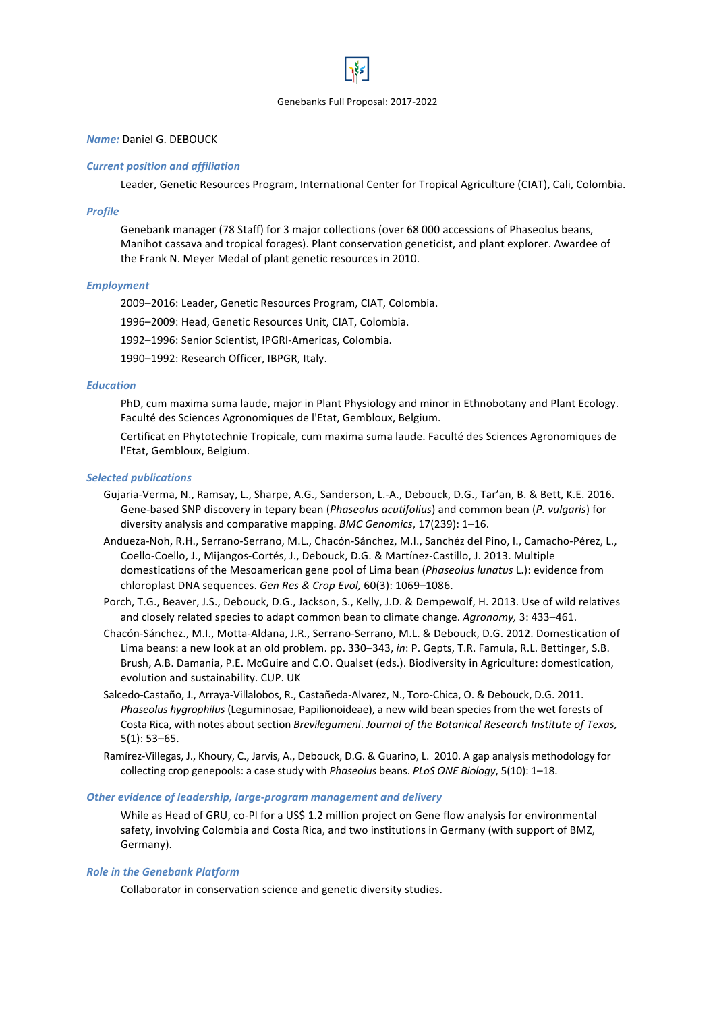# *Name:* Daniel G. DEBOUCK

#### *Current position and affiliation*

Leader, Genetic Resources Program, International Center for Tropical Agriculture (CIAT), Cali, Colombia.

#### *Profile*

Genebank manager (78 Staff) for 3 major collections (over 68 000 accessions of Phaseolus beans, Manihot cassava and tropical forages). Plant conservation geneticist, and plant explorer. Awardee of the Frank N. Meyer Medal of plant genetic resources in 2010.

#### *Employment*

2009-2016: Leader, Genetic Resources Program, CIAT, Colombia.

1996-2009: Head, Genetic Resources Unit, CIAT, Colombia.

1992–1996: Senior Scientist, IPGRI-Americas, Colombia.

1990–1992: Research Officer, IBPGR, Italy.

### *Education*

PhD, cum maxima suma laude, major in Plant Physiology and minor in Ethnobotany and Plant Ecology. Faculté des Sciences Agronomiques de l'Etat, Gembloux, Belgium.

Certificat en Phytotechnie Tropicale, cum maxima suma laude. Faculté des Sciences Agronomiques de l'Etat, Gembloux, Belgium.

#### *Selected publications*

- Gujaria-Verma, N., Ramsay, L., Sharpe, A.G., Sanderson, L.-A., Debouck, D.G., Tar'an, B. & Bett, K.E. 2016. Gene-based SNP discovery in tepary bean (*Phaseolus acutifolius*) and common bean (*P. vulgaris*) for diversity analysis and comparative mapping. *BMC Genomics*, 17(239): 1-16.
- Andueza-Noh, R.H., Serrano-Serrano, M.L., Chacón-Sánchez, M.I., Sanchéz del Pino, I., Camacho-Pérez, L., Coello-Coello, J., Mijangos-Cortés, J., Debouck, D.G. & Martínez-Castillo, J. 2013. Multiple domestications of the Mesoamerican gene pool of Lima bean (*Phaseolus lunatus* L.): evidence from chloroplast DNA sequences. *Gen Res & Crop Evol,* 60(3): 1069–1086.
- Porch, T.G., Beaver, J.S., Debouck, D.G., Jackson, S., Kelly, J.D. & Dempewolf, H. 2013. Use of wild relatives and closely related species to adapt common bean to climate change. Agronomy, 3: 433-461.
- Chacón-Sánchez., M.I., Motta-Aldana, J.R., Serrano-Serrano, M.L. & Debouck, D.G. 2012. Domestication of Lima beans: a new look at an old problem. pp. 330–343, in: P. Gepts, T.R. Famula, R.L. Bettinger, S.B. Brush, A.B. Damania, P.E. McGuire and C.O. Qualset (eds.). Biodiversity in Agriculture: domestication, evolution and sustainability. CUP. UK
- Salcedo-Castaño, J., Arraya-Villalobos, R., Castañeda-Alvarez, N., Toro-Chica, O. & Debouck, D.G. 2011. *Phaseolus hygrophilus* (Leguminosae, Papilionoideae), a new wild bean species from the wet forests of Costa Rica, with notes about section *Brevilegumeni*. *Journal of the Botanical Research Institute of Texas,* 5(1): 53–65.
- Ramírez-Villegas, J., Khoury, C., Jarvis, A., Debouck, D.G. & Guarino, L. 2010. A gap analysis methodology for collecting crop genepools: a case study with *Phaseolus* beans. *PLoS ONE Biology*, 5(10): 1–18.

# **Other evidence of leadership, large-program management and delivery**

While as Head of GRU, co-PI for a US\$ 1.2 million project on Gene flow analysis for environmental safety, involving Colombia and Costa Rica, and two institutions in Germany (with support of BMZ, Germany).

#### **Role in the Genebank Platform**

Collaborator in conservation science and genetic diversity studies.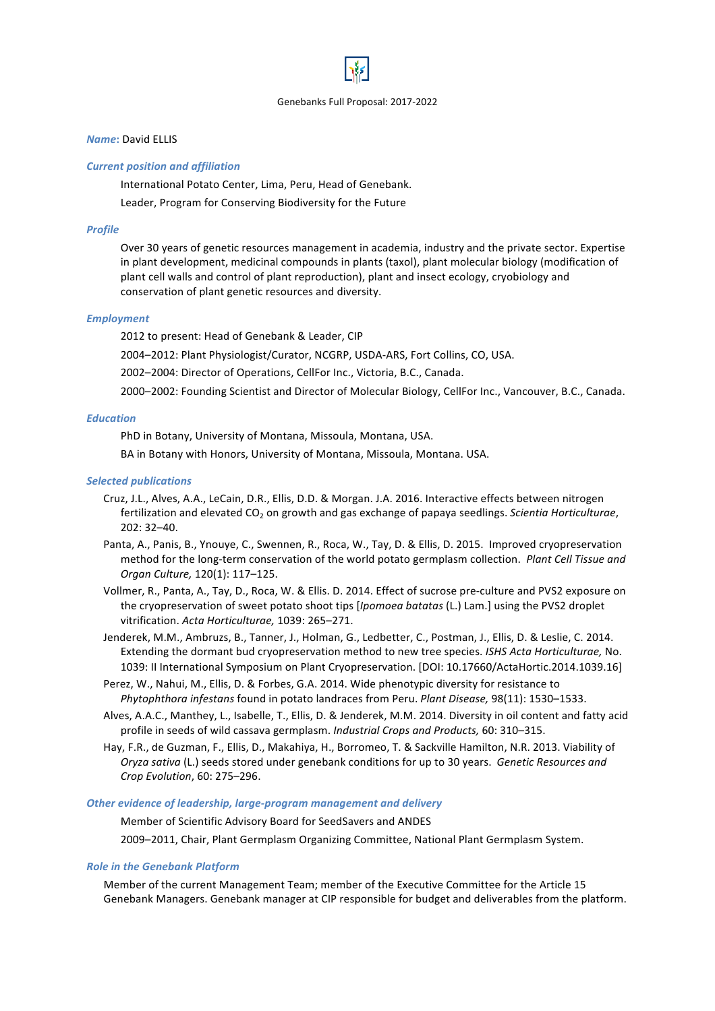# *Name***:** David ELLIS

### *Current position and affiliation*

International Potato Center, Lima, Peru, Head of Genebank. Leader, Program for Conserving Biodiversity for the Future

# *Profile*

Over 30 years of genetic resources management in academia, industry and the private sector. Expertise in plant development, medicinal compounds in plants (taxol), plant molecular biology (modification of plant cell walls and control of plant reproduction), plant and insect ecology, cryobiology and conservation of plant genetic resources and diversity.

#### *Employment*

2012 to present: Head of Genebank & Leader, CIP

2004-2012: Plant Physiologist/Curator, NCGRP, USDA-ARS, Fort Collins, CO, USA.

2002-2004: Director of Operations, CellFor Inc., Victoria, B.C., Canada.

2000–2002: Founding Scientist and Director of Molecular Biology, CellFor Inc., Vancouver, B.C., Canada.

### *Education*

PhD in Botany, University of Montana, Missoula, Montana, USA.

BA in Botany with Honors, University of Montana, Missoula, Montana. USA.

#### *Selected publications*

- Cruz, J.L., Alves, A.A., LeCain, D.R., Ellis, D.D. & Morgan. J.A. 2016. Interactive effects between nitrogen fertilization and elevated CO<sub>2</sub> on growth and gas exchange of papaya seedlings. *Scientia Horticulturae*, 202: 32–40.
- Panta, A., Panis, B., Ynouye, C., Swennen, R., Roca, W., Tay, D. & Ellis, D. 2015. Improved cryopreservation method for the long-term conservation of the world potato germplasm collection. *Plant Cell Tissue and Organ Culture,* 120(1): 117–125.
- Vollmer, R., Panta, A., Tay, D., Roca, W. & Ellis. D. 2014. Effect of sucrose pre-culture and PVS2 exposure on the cryopreservation of sweet potato shoot tips [*Ipomoea batatas* (L.) Lam.] using the PVS2 droplet vitrification. *Acta Horticulturae,* 1039: 265–271.
- Jenderek, M.M., Ambruzs, B., Tanner, J., Holman, G., Ledbetter, C., Postman, J., Ellis, D. & Leslie, C. 2014. Extending the dormant bud cryopreservation method to new tree species. *ISHS Acta Horticulturae*, No. 1039: II International Symposium on Plant Cryopreservation. [DOI: 10.17660/ActaHortic.2014.1039.16]
- Perez, W., Nahui, M., Ellis, D. & Forbes, G.A. 2014. Wide phenotypic diversity for resistance to *Phytophthora infestans* found in potato landraces from Peru. *Plant Disease*, 98(11): 1530–1533.
- Alves, A.A.C., Manthey, L., Isabelle, T., Ellis, D. & Jenderek, M.M. 2014. Diversity in oil content and fatty acid profile in seeds of wild cassava germplasm. *Industrial Crops and Products*, 60: 310–315.
- Hay, F.R., de Guzman, F., Ellis, D., Makahiya, H., Borromeo, T. & Sackville Hamilton, N.R. 2013. Viability of *Oryza sativa* (L.) seeds stored under genebank conditions for up to 30 years. Genetic Resources and *Crop Evolution*, 60: 275–296.

#### **Other evidence of leadership, large-program management and delivery**

Member of Scientific Advisory Board for SeedSavers and ANDES 2009–2011, Chair, Plant Germplasm Organizing Committee, National Plant Germplasm System.

#### **Role in the Genebank Platform**

Member of the current Management Team; member of the Executive Committee for the Article 15 Genebank Managers. Genebank manager at CIP responsible for budget and deliverables from the platform.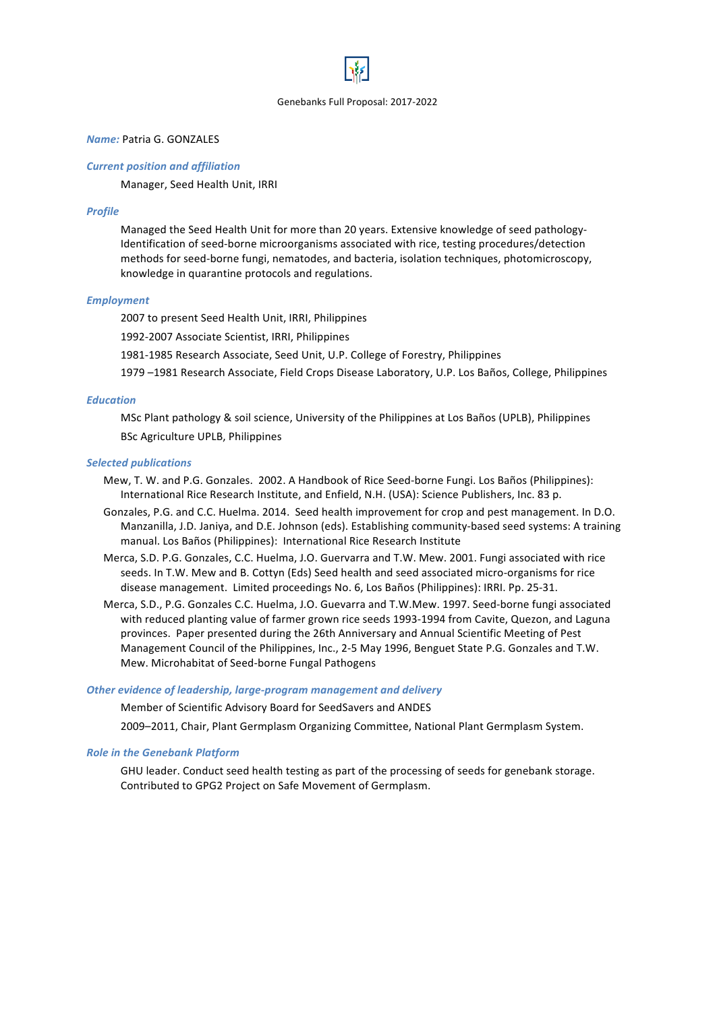# *Name:* Patria G. GONZALES

### *Current position and affiliation*

Manager, Seed Health Unit, IRRI

#### *Profile*

Managed the Seed Health Unit for more than 20 years. Extensive knowledge of seed pathology-Identification of seed-borne microorganisms associated with rice, testing procedures/detection methods for seed-borne fungi, nematodes, and bacteria, isolation techniques, photomicroscopy, knowledge in quarantine protocols and regulations.

#### *Employment*

2007 to present Seed Health Unit, IRRI, Philippines

1992-2007 Associate Scientist, IRRI, Philippines

1981-1985 Research Associate, Seed Unit, U.P. College of Forestry, Philippines

1979 -1981 Research Associate, Field Crops Disease Laboratory, U.P. Los Baños, College, Philippines

### *Education*

MSc Plant pathology & soil science, University of the Philippines at Los Baños (UPLB), Philippines BSc Agriculture UPLB, Philippines

#### *Selected publications*

- Mew, T. W. and P.G. Gonzales. 2002. A Handbook of Rice Seed-borne Fungi. Los Baños (Philippines): International Rice Research Institute, and Enfield, N.H. (USA): Science Publishers, Inc. 83 p.
- Gonzales, P.G. and C.C. Huelma. 2014. Seed health improvement for crop and pest management. In D.O. Manzanilla, J.D. Janiya, and D.E. Johnson (eds). Establishing community-based seed systems: A training manual. Los Baños (Philippines): International Rice Research Institute
- Merca, S.D. P.G. Gonzales, C.C. Huelma, J.O. Guervarra and T.W. Mew. 2001. Fungi associated with rice seeds. In T.W. Mew and B. Cottyn (Eds) Seed health and seed associated micro-organisms for rice disease management. Limited proceedings No. 6, Los Baños (Philippines): IRRI. Pp. 25-31.
- Merca, S.D., P.G. Gonzales C.C. Huelma, J.O. Guevarra and T.W.Mew. 1997. Seed-borne fungi associated with reduced planting value of farmer grown rice seeds 1993-1994 from Cavite, Quezon, and Laguna provinces. Paper presented during the 26th Anniversary and Annual Scientific Meeting of Pest Management Council of the Philippines, Inc., 2-5 May 1996, Benguet State P.G. Gonzales and T.W. Mew. Microhabitat of Seed-borne Fungal Pathogens

#### **Other evidence of leadership, large-program management and delivery**

Member of Scientific Advisory Board for SeedSavers and ANDES

2009-2011, Chair, Plant Germplasm Organizing Committee, National Plant Germplasm System.

### **Role in the Genebank Platform**

GHU leader. Conduct seed health testing as part of the processing of seeds for genebank storage. Contributed to GPG2 Project on Safe Movement of Germplasm.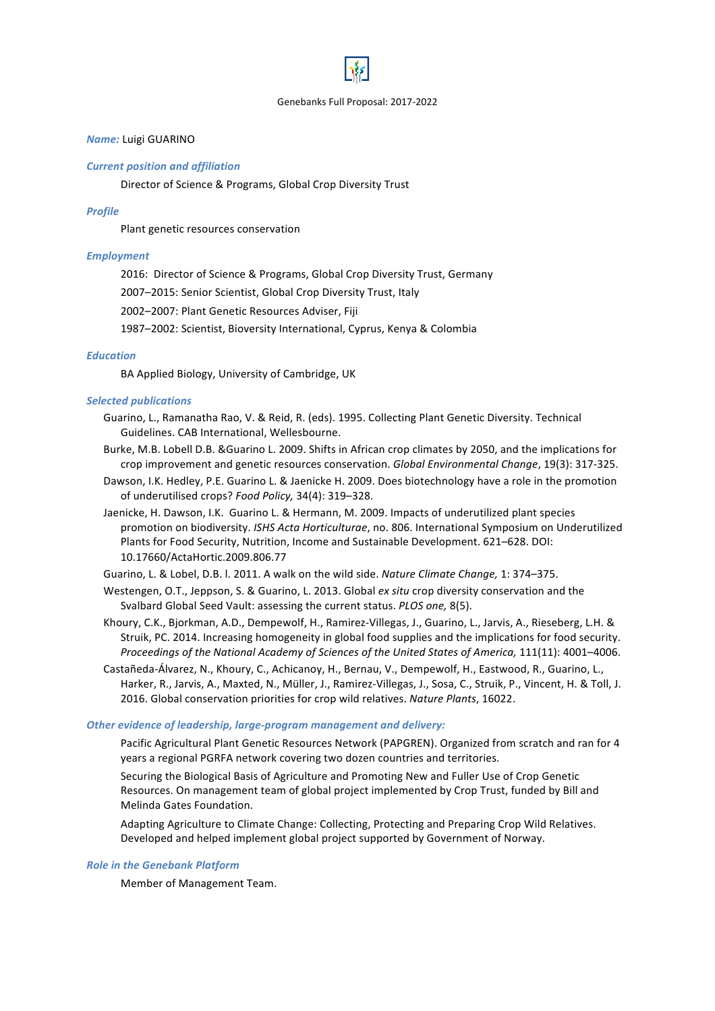# *Name:* Luigi GUARINO

#### *Current position and affiliation*

Director of Science & Programs, Global Crop Diversity Trust

#### *Profile*

Plant genetic resources conservation

### *Employment*

2016: Director of Science & Programs, Global Crop Diversity Trust, Germany

2007-2015: Senior Scientist, Global Crop Diversity Trust, Italy

2002-2007: Plant Genetic Resources Adviser, Fiji

1987–2002: Scientist, Bioversity International, Cyprus, Kenya & Colombia

#### *Education*

BA Applied Biology, University of Cambridge, UK

### *Selected publications*

- Guarino, L., Ramanatha Rao, V. & Reid, R. (eds). 1995. Collecting Plant Genetic Diversity. Technical Guidelines. CAB International, Wellesbourne.
- Burke, M.B. Lobell D.B. & Guarino L. 2009. Shifts in African crop climates by 2050, and the implications for crop improvement and genetic resources conservation. *Global Environmental Change*, 19(3): 317-325.
- Dawson, I.K. Hedley, P.E. Guarino L. & Jaenicke H. 2009. Does biotechnology have a role in the promotion of underutilised crops? Food Policy, 34(4): 319-328.
- Jaenicke, H. Dawson, I.K. Guarino L. & Hermann, M. 2009. Impacts of underutilized plant species promotion on biodiversity. *ISHS Acta Horticulturae*, no. 806. International Symposium on Underutilized Plants for Food Security, Nutrition, Income and Sustainable Development. 621–628. DOI: 10.17660/ActaHortic.2009.806.77

Guarino, L. & Lobel, D.B. I. 2011. A walk on the wild side. *Nature Climate Change,* 1: 374–375.

- Westengen, O.T., Jeppson, S. & Guarino, L. 2013. Global *ex situ* crop diversity conservation and the Svalbard Global Seed Vault: assessing the current status. *PLOS one*, 8(5).
- Khoury, C.K., Bjorkman, A.D., Dempewolf, H., Ramirez-Villegas, J., Guarino, L., Jarvis, A., Rieseberg, L.H. & Struik, PC. 2014. Increasing homogeneity in global food supplies and the implications for food security. *Proceedings of the National Academy of Sciences of the United States of America, 111(11): 4001–4006.*
- Castañeda-Álvarez, N., Khoury, C., Achicanoy, H., Bernau, V., Dempewolf, H., Eastwood, R., Guarino, L., Harker, R., Jarvis, A., Maxted, N., Müller, J., Ramirez-Villegas, J., Sosa, C., Struik, P., Vincent, H. & Toll, J. 2016. Global conservation priorities for crop wild relatives. Nature Plants, 16022.

#### **Other evidence of leadership, large-program management and delivery:**

Pacific Agricultural Plant Genetic Resources Network (PAPGREN). Organized from scratch and ran for 4 years a regional PGRFA network covering two dozen countries and territories.

Securing the Biological Basis of Agriculture and Promoting New and Fuller Use of Crop Genetic Resources. On management team of global project implemented by Crop Trust, funded by Bill and Melinda Gates Foundation.

Adapting Agriculture to Climate Change: Collecting, Protecting and Preparing Crop Wild Relatives. Developed and helped implement global project supported by Government of Norway.

#### **Role in the Genebank Platform**

Member of Management Team.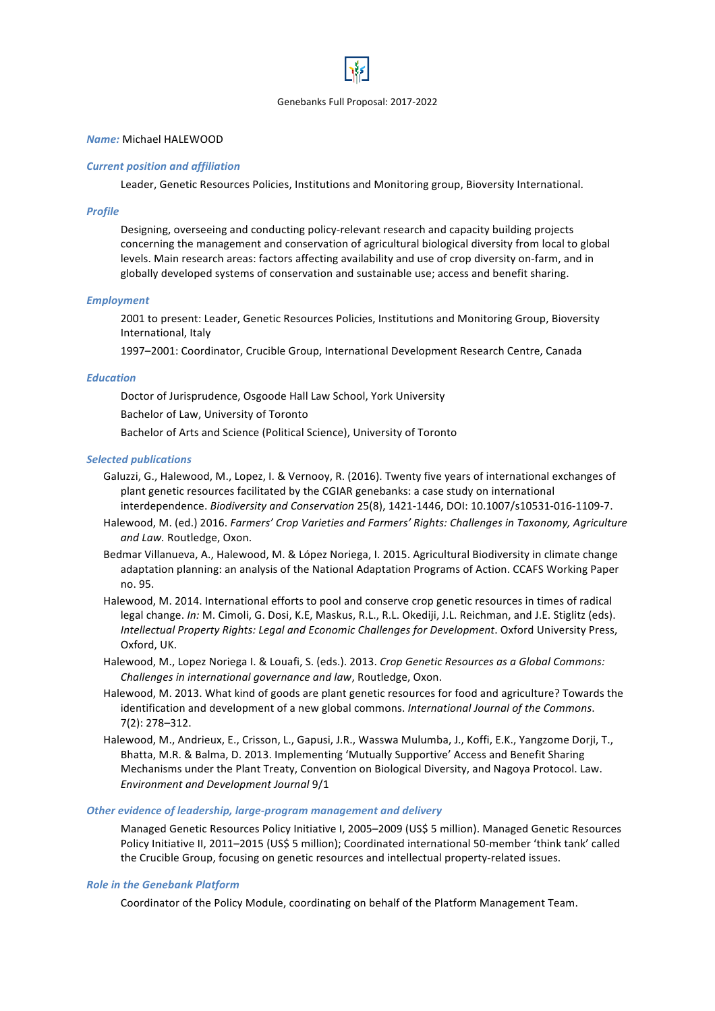# *Name:* Michael HALEWOOD

### *Current position and affiliation*

Leader, Genetic Resources Policies, Institutions and Monitoring group, Bioversity International.

# *Profile*

Designing, overseeing and conducting policy-relevant research and capacity building projects concerning the management and conservation of agricultural biological diversity from local to global levels. Main research areas: factors affecting availability and use of crop diversity on-farm, and in globally developed systems of conservation and sustainable use; access and benefit sharing.

# *Employment*

2001 to present: Leader, Genetic Resources Policies, Institutions and Monitoring Group, Bioversity International, Italy

1997–2001: Coordinator, Crucible Group, International Development Research Centre, Canada

# *Education*

Doctor of Jurisprudence, Osgoode Hall Law School, York University

Bachelor of Law, University of Toronto

Bachelor of Arts and Science (Political Science), University of Toronto

# *Selected publications*

- Galuzzi, G., Halewood, M., Lopez, I. & Vernooy, R. (2016). Twenty five years of international exchanges of plant genetic resources facilitated by the CGIAR genebanks: a case study on international interdependence. *Biodiversity and Conservation* 25(8), 1421-1446, DOI: 10.1007/s10531-016-1109-7.
- Halewood, M. (ed.) 2016. *Farmers' Crop Varieties and Farmers' Rights: Challenges in Taxonomy, Agriculture* and Law. Routledge, Oxon.
- Bedmar Villanueva, A., Halewood, M. & López Noriega, I. 2015. Agricultural Biodiversity in climate change adaptation planning: an analysis of the National Adaptation Programs of Action. CCAFS Working Paper no. 95.
- Halewood, M. 2014. International efforts to pool and conserve crop genetic resources in times of radical legal change. *In:* M. Cimoli, G. Dosi, K.E, Maskus, R.L., R.L. Okediji, J.L. Reichman, and J.E. Stiglitz (eds). *Intellectual Property Rights: Legal and Economic Challenges for Development*. Oxford University Press, Oxford, UK.
- Halewood, M., Lopez Noriega I. & Louafi, S. (eds.). 2013. *Crop Genetic Resources as a Global Commons: Challenges in international governance and law*, Routledge, Oxon.
- Halewood, M. 2013. What kind of goods are plant genetic resources for food and agriculture? Towards the identification and development of a new global commons. *International Journal of the Commons*. 7(2): 278–312.
- Halewood, M., Andrieux, E., Crisson, L., Gapusi, J.R., Wasswa Mulumba, J., Koffi, E.K., Yangzome Dorji, T., Bhatta, M.R. & Balma, D. 2013. Implementing 'Mutually Supportive' Access and Benefit Sharing Mechanisms under the Plant Treaty, Convention on Biological Diversity, and Nagoya Protocol. Law. *Environment and Development Journal* 9/1

### **Other evidence of leadership, large-program management and delivery**

Managed Genetic Resources Policy Initiative I, 2005–2009 (US\$ 5 million). Managed Genetic Resources Policy Initiative II, 2011–2015 (US\$ 5 million); Coordinated international 50-member 'think tank' called the Crucible Group, focusing on genetic resources and intellectual property-related issues.

# **Role in the Genebank Platform**

Coordinator of the Policy Module, coordinating on behalf of the Platform Management Team.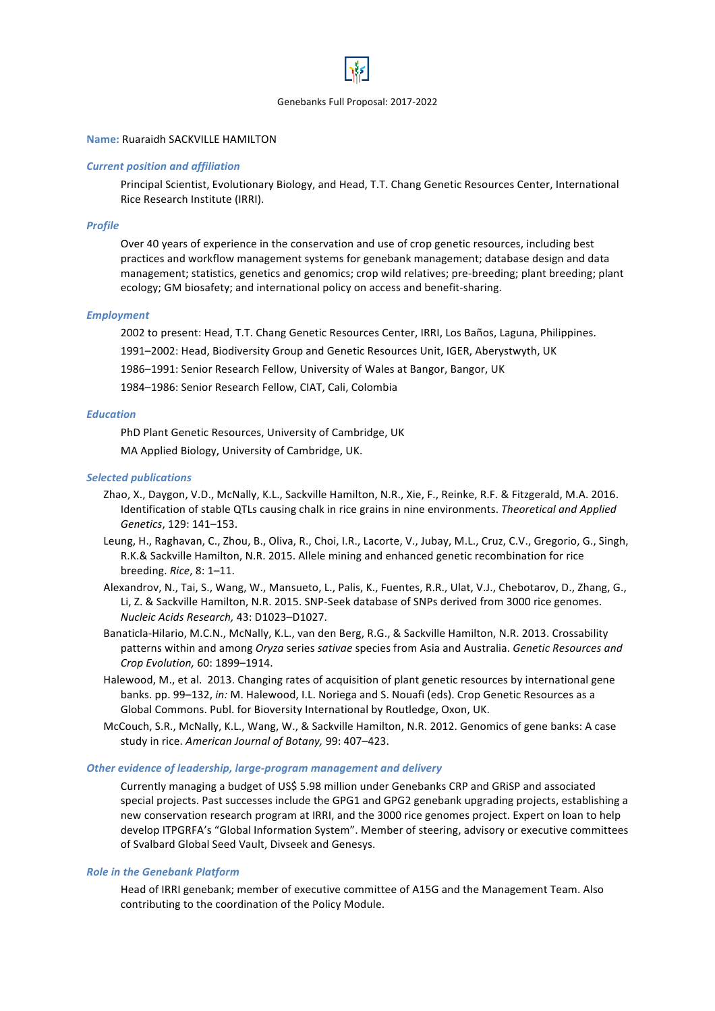# **Name: Ruaraidh SACKVILLE HAMILTON**

#### *Current position and affiliation*

Principal Scientist, Evolutionary Biology, and Head, T.T. Chang Genetic Resources Center, International Rice Research Institute (IRRI).

#### *Profile*

Over 40 years of experience in the conservation and use of crop genetic resources, including best practices and workflow management systems for genebank management; database design and data management; statistics, genetics and genomics; crop wild relatives; pre-breeding; plant breeding; plant ecology; GM biosafety; and international policy on access and benefit-sharing.

#### *Employment*

2002 to present: Head, T.T. Chang Genetic Resources Center, IRRI, Los Baños, Laguna, Philippines.

1991–2002: Head, Biodiversity Group and Genetic Resources Unit, IGER, Aberystwyth, UK

1986-1991: Senior Research Fellow, University of Wales at Bangor, Bangor, UK

1984-1986: Senior Research Fellow, CIAT, Cali, Colombia

# *Education*

PhD Plant Genetic Resources, University of Cambridge, UK

MA Applied Biology, University of Cambridge, UK.

### **Selected publications**

- Zhao, X., Daygon, V.D., McNally, K.L., Sackville Hamilton, N.R., Xie, F., Reinke, R.F. & Fitzgerald, M.A. 2016. Identification of stable QTLs causing chalk in rice grains in nine environments. Theoretical and Applied *Genetics*, 129: 141–153.
- Leung, H., Raghavan, C., Zhou, B., Oliva, R., Choi, I.R., Lacorte, V., Jubay, M.L., Cruz, C.V., Gregorio, G., Singh, R.K.& Sackville Hamilton, N.R. 2015. Allele mining and enhanced genetic recombination for rice breeding. *Rice*, 8: 1–11.
- Alexandrov, N., Tai, S., Wang, W., Mansueto, L., Palis, K., Fuentes, R.R., Ulat, V.J., Chebotarov, D., Zhang, G., Li, Z. & Sackville Hamilton, N.R. 2015. SNP-Seek database of SNPs derived from 3000 rice genomes. *Nucleic Acids Research,* 43: D1023–D1027.
- Banaticla-Hilario, M.C.N., McNally, K.L., van den Berg, R.G., & Sackville Hamilton, N.R. 2013. Crossability patterns within and among *Oryza* series *sativae* species from Asia and Australia. *Genetic Resources and Crop Evolution,* 60: 1899–1914.
- Halewood, M., et al. 2013. Changing rates of acquisition of plant genetic resources by international gene banks. pp. 99-132, in: M. Halewood, I.L. Noriega and S. Nouafi (eds). Crop Genetic Resources as a Global Commons. Publ. for Bioversity International by Routledge, Oxon, UK.
- McCouch, S.R., McNally, K.L., Wang, W., & Sackville Hamilton, N.R. 2012. Genomics of gene banks: A case study in rice. American Journal of Botany, 99: 407-423.

### **Other evidence of leadership, large-program management and delivery**

Currently managing a budget of US\$ 5.98 million under Genebanks CRP and GRISP and associated special projects. Past successes include the GPG1 and GPG2 genebank upgrading projects, establishing a new conservation research program at IRRI, and the 3000 rice genomes project. Expert on loan to help develop ITPGRFA's "Global Information System". Member of steering, advisory or executive committees of Svalbard Global Seed Vault, Divseek and Genesys.

#### **Role in the Genebank Platform**

Head of IRRI genebank; member of executive committee of A15G and the Management Team. Also contributing to the coordination of the Policy Module.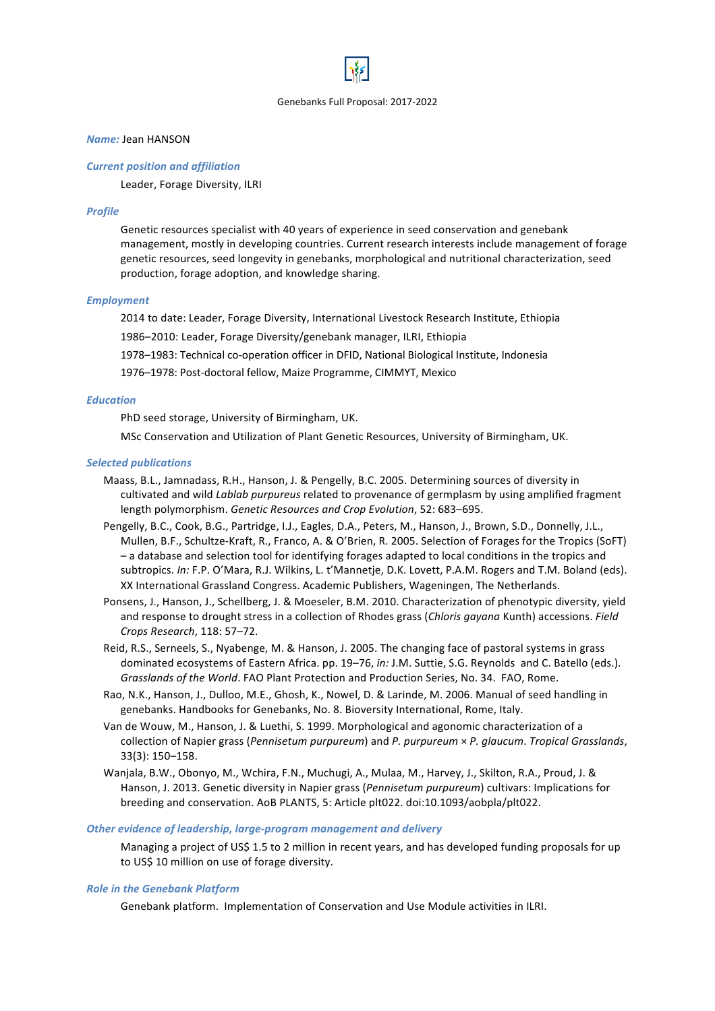### *Name:* Jean HANSON

#### *Current position and affiliation*

Leader, Forage Diversity, ILRI

#### *Profile*

Genetic resources specialist with 40 years of experience in seed conservation and genebank management, mostly in developing countries. Current research interests include management of forage genetic resources, seed longevity in genebanks, morphological and nutritional characterization, seed production, forage adoption, and knowledge sharing.

#### *Employment*

2014 to date: Leader, Forage Diversity, International Livestock Research Institute, Ethiopia

1986–2010: Leader, Forage Diversity/genebank manager, ILRI, Ethiopia

1978–1983: Technical co-operation officer in DFID, National Biological Institute, Indonesia

1976–1978: Post-doctoral fellow, Maize Programme, CIMMYT, Mexico

### *Education*

PhD seed storage, University of Birmingham, UK.

MSc Conservation and Utilization of Plant Genetic Resources, University of Birmingham, UK.

#### *Selected publications*

- Maass, B.L., Jamnadass, R.H., Hanson, J. & Pengelly, B.C. 2005. Determining sources of diversity in cultivated and wild *Lablab purpureus* related to provenance of germplasm by using amplified fragment length polymorphism. Genetic Resources and Crop Evolution, 52: 683-695.
- Pengelly, B.C., Cook, B.G., Partridge, I.J., Eagles, D.A., Peters, M., Hanson, J., Brown, S.D., Donnelly, J.L., Mullen, B.F., Schultze-Kraft, R., Franco, A. & O'Brien, R. 2005. Selection of Forages for the Tropics (SoFT) – a database and selection tool for identifying forages adapted to local conditions in the tropics and subtropics. In: F.P. O'Mara, R.J. Wilkins, L. t'Mannetje, D.K. Lovett, P.A.M. Rogers and T.M. Boland (eds). XX International Grassland Congress. Academic Publishers, Wageningen, The Netherlands.
- Ponsens, J., Hanson, J., Schellberg, J. & Moeseler, B.M. 2010. Characterization of phenotypic diversity, yield and response to drought stress in a collection of Rhodes grass (*Chloris gayana* Kunth) accessions. *Field Crops Research*, 118: 57–72.
- Reid, R.S., Serneels, S., Nyabenge, M. & Hanson, J. 2005. The changing face of pastoral systems in grass dominated ecosystems of Eastern Africa. pp. 19–76, *in:* J.M. Suttie, S.G. Reynolds and C. Batello (eds.). Grasslands of the World. FAO Plant Protection and Production Series, No. 34. FAO, Rome.
- Rao, N.K., Hanson, J., Dulloo, M.E., Ghosh, K., Nowel, D. & Larinde, M. 2006. Manual of seed handling in genebanks. Handbooks for Genebanks, No. 8. Bioversity International, Rome, Italy.
- Van de Wouw, M., Hanson, J. & Luethi, S. 1999. Morphological and agonomic characterization of a collection of Napier grass (Pennisetum purpureum) and P. purpureum × P. glaucum. Tropical Grasslands, 33(3): 150–158.
- Wanjala, B.W., Obonyo, M., Wchira, F.N., Muchugi, A., Mulaa, M., Harvey, J., Skilton, R.A., Proud, J. & Hanson, J. 2013. Genetic diversity in Napier grass (*Pennisetum purpureum*) cultivars: Implications for breeding and conservation. AoB PLANTS, 5: Article plt022. doi:10.1093/aobpla/plt022.

#### **Other evidence of leadership, large-program management and delivery**

Managing a project of US\$ 1.5 to 2 million in recent years, and has developed funding proposals for up to US\$ 10 million on use of forage diversity.

#### **Role in the Genebank Platform**

Genebank platform. Implementation of Conservation and Use Module activities in ILRI.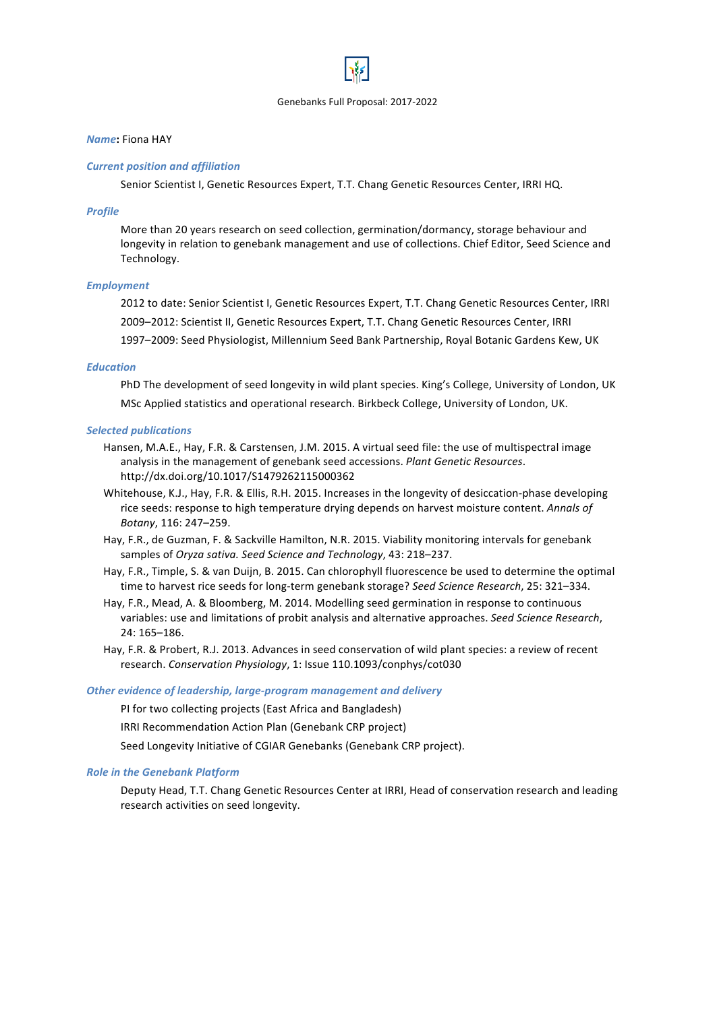# *Name***:** Fiona HAY

### *Current position and affiliation*

Senior Scientist I, Genetic Resources Expert, T.T. Chang Genetic Resources Center, IRRI HQ.

#### *Profile*

More than 20 years research on seed collection, germination/dormancy, storage behaviour and longevity in relation to genebank management and use of collections. Chief Editor, Seed Science and Technology. 

#### *Employment*

2012 to date: Senior Scientist I, Genetic Resources Expert, T.T. Chang Genetic Resources Center, IRRI 2009-2012: Scientist II, Genetic Resources Expert, T.T. Chang Genetic Resources Center, IRRI 1997–2009: Seed Physiologist, Millennium Seed Bank Partnership, Royal Botanic Gardens Kew, UK

#### *Education*

PhD The development of seed longevity in wild plant species. King's College, University of London, UK MSc Applied statistics and operational research. Birkbeck College, University of London, UK.

#### *Selected publications*

- Hansen, M.A.E., Hay, F.R. & Carstensen, J.M. 2015. A virtual seed file: the use of multispectral image analysis in the management of genebank seed accessions. *Plant Genetic Resources*. http://dx.doi.org/10.1017/S1479262115000362
- Whitehouse, K.J., Hay, F.R. & Ellis, R.H. 2015. Increases in the longevity of desiccation-phase developing rice seeds: response to high temperature drying depends on harvest moisture content. Annals of *Botany*, 116: 247–259.
- Hay, F.R., de Guzman, F. & Sackville Hamilton, N.R. 2015. Viability monitoring intervals for genebank samples of *Oryza sativa.* Seed Science and Technology, 43: 218–237.
- Hay, F.R., Timple, S. & van Duijn, B. 2015. Can chlorophyll fluorescence be used to determine the optimal time to harvest rice seeds for long-term genebank storage? Seed Science Research, 25: 321–334.
- Hay, F.R., Mead, A. & Bloomberg, M. 2014. Modelling seed germination in response to continuous variables: use and limitations of probit analysis and alternative approaches. *Seed Science Research*, 24: 165–186.
- Hay, F.R. & Probert, R.J. 2013. Advances in seed conservation of wild plant species: a review of recent research. Conservation Physiology, 1: Issue 110.1093/conphys/cot030

### **Other evidence of leadership, large-program management and delivery**

PI for two collecting projects (East Africa and Bangladesh)

IRRI Recommendation Action Plan (Genebank CRP project)

Seed Longevity Initiative of CGIAR Genebanks (Genebank CRP project).

### **Role in the Genebank Platform**

Deputy Head, T.T. Chang Genetic Resources Center at IRRI, Head of conservation research and leading research activities on seed longevity.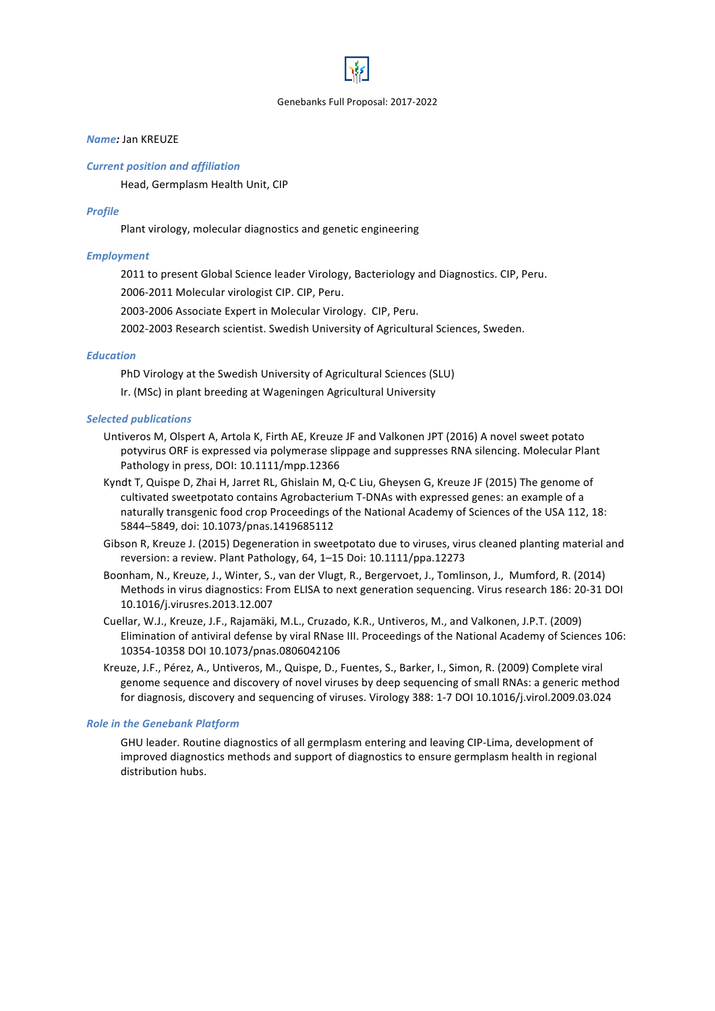# *Name:* Jan KREUZE

#### *Current position and affiliation*

Head, Germplasm Health Unit, CIP

#### *Profile*

Plant virology, molecular diagnostics and genetic engineering

### *Employment*

2011 to present Global Science leader Virology, Bacteriology and Diagnostics. CIP, Peru.

2006-2011 Molecular virologist CIP. CIP, Peru.

2003-2006 Associate Expert in Molecular Virology. CIP, Peru.

2002-2003 Research scientist. Swedish University of Agricultural Sciences, Sweden.

### *Education*

PhD Virology at the Swedish University of Agricultural Sciences (SLU)

Ir. (MSc) in plant breeding at Wageningen Agricultural University

### **Selected publications**

- Untiveros M, Olspert A, Artola K, Firth AE, Kreuze JF and Valkonen JPT (2016) A novel sweet potato potyvirus ORF is expressed via polymerase slippage and suppresses RNA silencing. Molecular Plant Pathology in press, DOI: 10.1111/mpp.12366
- Kyndt T, Quispe D, Zhai H, Jarret RL, Ghislain M, Q-C Liu, Gheysen G, Kreuze JF (2015) The genome of cultivated sweetpotato contains Agrobacterium T-DNAs with expressed genes: an example of a naturally transgenic food crop Proceedings of the National Academy of Sciences of the USA 112, 18: 5844-5849, doi: 10.1073/pnas.1419685112
- Gibson R, Kreuze J. (2015) Degeneration in sweetpotato due to viruses, virus cleaned planting material and reversion: a review. Plant Pathology, 64, 1-15 Doi: 10.1111/ppa.12273
- Boonham, N., Kreuze, J., Winter, S., van der Vlugt, R., Bergervoet, J., Tomlinson, J., Mumford, R. (2014) Methods in virus diagnostics: From ELISA to next generation sequencing. Virus research 186: 20-31 DOI 10.1016/j.virusres.2013.12.007
- Cuellar, W.J., Kreuze, J.F., Rajamäki, M.L., Cruzado, K.R., Untiveros, M., and Valkonen, J.P.T. (2009) Elimination of antiviral defense by viral RNase III. Proceedings of the National Academy of Sciences 106: 10354-10358 DOI 10.1073/pnas.0806042106
- Kreuze, J.F., Pérez, A., Untiveros, M., Quispe, D., Fuentes, S., Barker, I., Simon, R. (2009) Complete viral genome sequence and discovery of novel viruses by deep sequencing of small RNAs: a generic method for diagnosis, discovery and sequencing of viruses. Virology 388: 1-7 DOI 10.1016/j.virol.2009.03.024

#### **Role in the Genebank Platform**

GHU leader. Routine diagnostics of all germplasm entering and leaving CIP-Lima, development of improved diagnostics methods and support of diagnostics to ensure germplasm health in regional distribution hubs.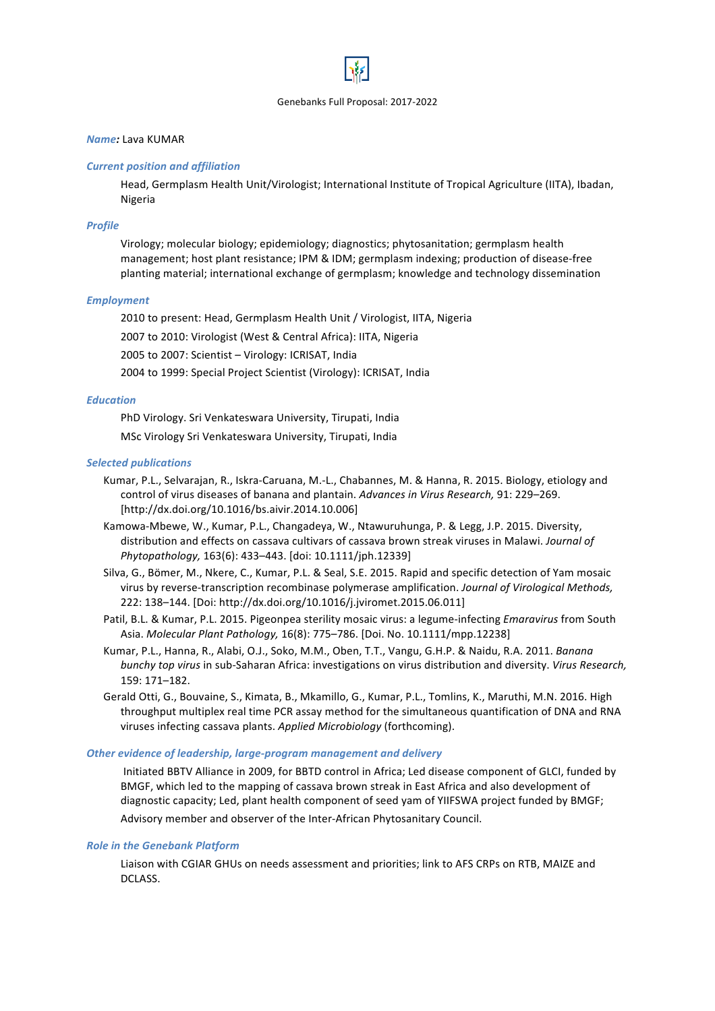# *Name:* Lava KUMAR

### *Current position and affiliation*

Head, Germplasm Health Unit/Virologist; International Institute of Tropical Agriculture (IITA), Ibadan, Nigeria

# *Profile*

Virology; molecular biology; epidemiology; diagnostics; phytosanitation; germplasm health management; host plant resistance; IPM & IDM; germplasm indexing; production of disease-free planting material; international exchange of germplasm; knowledge and technology dissemination

# *Employment*

2010 to present: Head, Germplasm Health Unit / Virologist, IITA, Nigeria

2007 to 2010: Virologist (West & Central Africa): IITA, Nigeria

2005 to 2007: Scientist - Virology: ICRISAT, India

2004 to 1999: Special Project Scientist (Virology): ICRISAT, India

# *Education*

PhD Virology. Sri Venkateswara University, Tirupati, India

MSc Virology Sri Venkateswara University, Tirupati, India

# **Selected publications**

- Kumar, P.L., Selvarajan, R., Iskra-Caruana, M.-L., Chabannes, M. & Hanna, R. 2015. Biology, etiology and control of virus diseases of banana and plantain. Advances in Virus Research, 91: 229–269. [http://dx.doi.org/10.1016/bs.aivir.2014.10.006]
- Kamowa-Mbewe, W., Kumar, P.L., Changadeya, W., Ntawuruhunga, P. & Legg, J.P. 2015. Diversity, distribution and effects on cassava cultivars of cassava brown streak viruses in Malawi. *Journal of Phytopathology,* 163(6): 433–443. [doi: 10.1111/jph.12339]
- Silva, G., Bömer, M., Nkere, C., Kumar, P.L. & Seal, S.E. 2015. Rapid and specific detection of Yam mosaic virus by reverse-transcription recombinase polymerase amplification. *Journal of Virological Methods,* 222: 138-144. [Doi: http://dx.doi.org/10.1016/j.jviromet.2015.06.011]
- Patil, B.L. & Kumar, P.L. 2015. Pigeonpea sterility mosaic virus: a legume-infecting *Emaravirus* from South Asia. *Molecular Plant Pathology,* 16(8): 775–786. [Doi. No. 10.1111/mpp.12238]
- Kumar, P.L., Hanna, R., Alabi, O.J., Soko, M.M., Oben, T.T., Vangu, G.H.P. & Naidu, R.A. 2011. *Banana bunchy top virus* in sub-Saharan Africa: investigations on virus distribution and diversity. *Virus Research*, 159: 171–182.
- Gerald Otti, G., Bouvaine, S., Kimata, B., Mkamillo, G., Kumar, P.L., Tomlins, K., Maruthi, M.N. 2016. High throughput multiplex real time PCR assay method for the simultaneous quantification of DNA and RNA viruses infecting cassava plants. Applied Microbiology (forthcoming).

# **Other evidence of leadership, large-program management and delivery**

Initiated BBTV Alliance in 2009, for BBTD control in Africa; Led disease component of GLCI, funded by BMGF, which led to the mapping of cassava brown streak in East Africa and also development of diagnostic capacity; Led, plant health component of seed yam of YIIFSWA project funded by BMGF; Advisory member and observer of the Inter-African Phytosanitary Council.

### **Role in the Genebank Platform**

Liaison with CGIAR GHUs on needs assessment and priorities; link to AFS CRPs on RTB, MAIZE and DCLASS.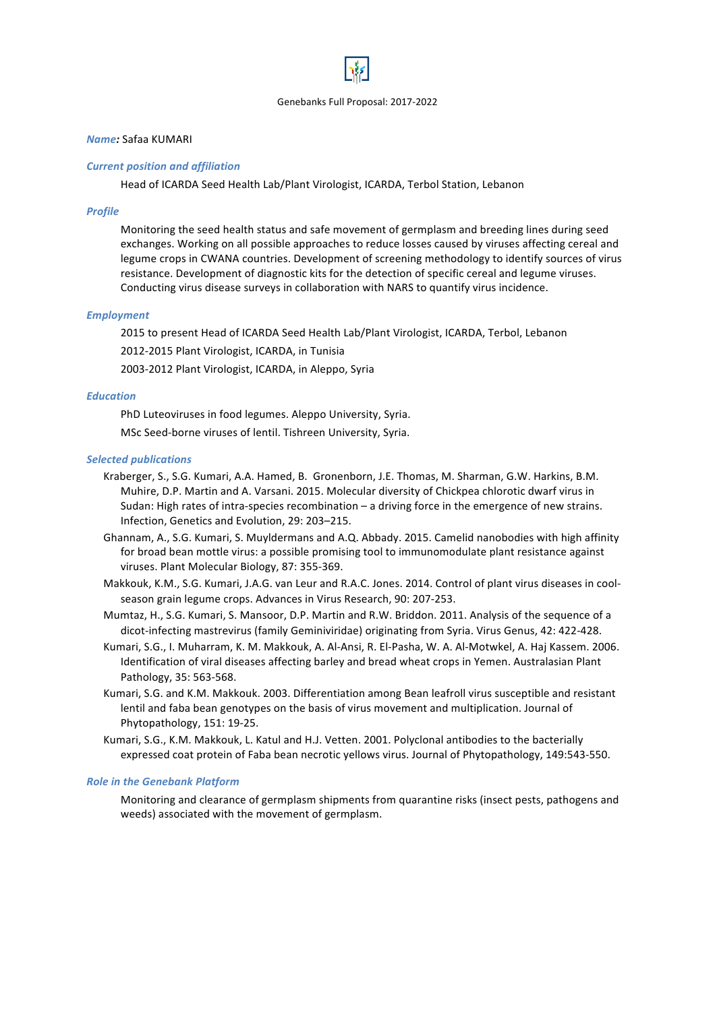# *Name:* Safaa KUMARI

### *Current position and affiliation*

Head of ICARDA Seed Health Lab/Plant Virologist, ICARDA, Terbol Station, Lebanon

# *Profile*

Monitoring the seed health status and safe movement of germplasm and breeding lines during seed exchanges. Working on all possible approaches to reduce losses caused by viruses affecting cereal and legume crops in CWANA countries. Development of screening methodology to identify sources of virus resistance. Development of diagnostic kits for the detection of specific cereal and legume viruses. Conducting virus disease surveys in collaboration with NARS to quantify virus incidence.

# *Employment*

2015 to present Head of ICARDA Seed Health Lab/Plant Virologist, ICARDA, Terbol, Lebanon

2012-2015 Plant Virologist, ICARDA, in Tunisia

2003-2012 Plant Virologist, ICARDA, in Aleppo, Syria

# *Education*

PhD Luteoviruses in food legumes. Aleppo University, Syria.

MSc Seed-borne viruses of lentil. Tishreen University, Syria.

# **Selected publications**

- Kraberger, S., S.G. Kumari, A.A. Hamed, B. Gronenborn, J.E. Thomas, M. Sharman, G.W. Harkins, B.M. Muhire, D.P. Martin and A. Varsani. 2015. Molecular diversity of Chickpea chlorotic dwarf virus in Sudan: High rates of intra-species recombination – a driving force in the emergence of new strains. Infection, Genetics and Evolution, 29: 203-215.
- Ghannam, A., S.G. Kumari, S. Muyldermans and A.Q. Abbady. 2015. Camelid nanobodies with high affinity for broad bean mottle virus: a possible promising tool to immunomodulate plant resistance against viruses. Plant Molecular Biology, 87: 355-369.
- Makkouk, K.M., S.G. Kumari, J.A.G. van Leur and R.A.C. Jones. 2014. Control of plant virus diseases in coolseason grain legume crops. Advances in Virus Research, 90: 207-253.
- Mumtaz, H., S.G. Kumari, S. Mansoor, D.P. Martin and R.W. Briddon. 2011. Analysis of the sequence of a dicot-infecting mastrevirus (family Geminiviridae) originating from Syria. Virus Genus, 42: 422-428.
- Kumari, S.G., I. Muharram, K. M. Makkouk, A. Al-Ansi, R. El-Pasha, W. A. Al-Motwkel, A. Haj Kassem. 2006. Identification of viral diseases affecting barley and bread wheat crops in Yemen. Australasian Plant Pathology, 35: 563-568.
- Kumari, S.G. and K.M. Makkouk. 2003. Differentiation among Bean leafroll virus susceptible and resistant lentil and faba bean genotypes on the basis of virus movement and multiplication. Journal of Phytopathology, 151: 19-25.
- Kumari, S.G., K.M. Makkouk, L. Katul and H.J. Vetten. 2001. Polyclonal antibodies to the bacterially expressed coat protein of Faba bean necrotic yellows virus. Journal of Phytopathology, 149:543-550.

### **Role in the Genebank Platform**

Monitoring and clearance of germplasm shipments from quarantine risks (insect pests, pathogens and weeds) associated with the movement of germplasm.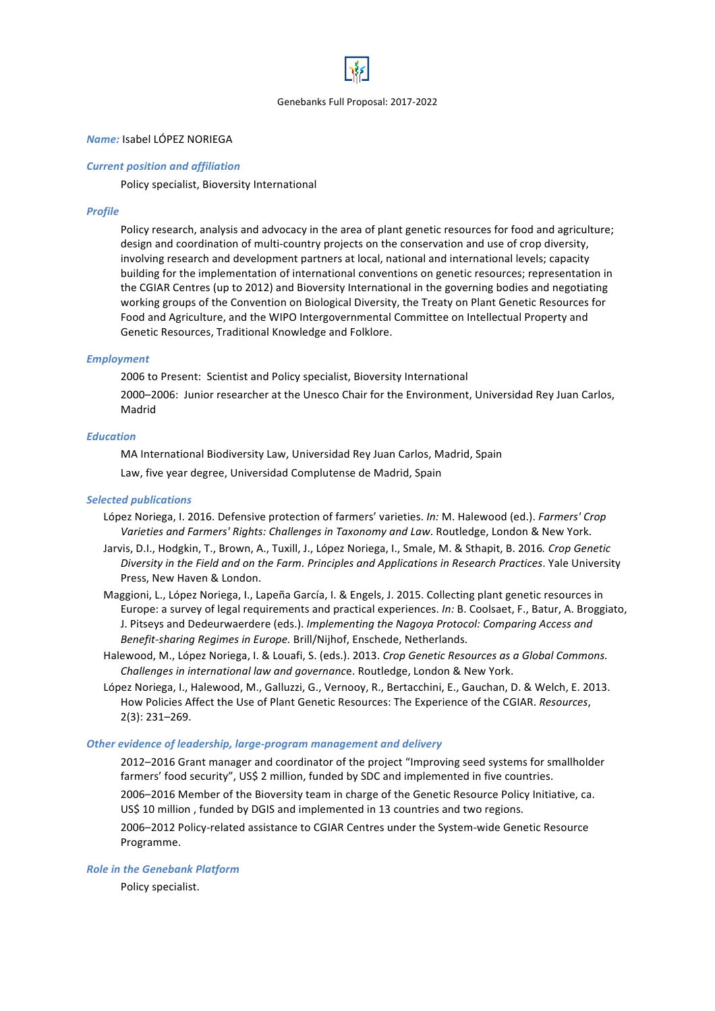

### *Name:* Isabel LÓPEZ NORIEGA

### *Current position and affiliation*

Policy specialist, Bioversity International

# *Profile*

Policy research, analysis and advocacy in the area of plant genetic resources for food and agriculture; design and coordination of multi-country projects on the conservation and use of crop diversity, involving research and development partners at local, national and international levels; capacity building for the implementation of international conventions on genetic resources; representation in the CGIAR Centres (up to 2012) and Bioversity International in the governing bodies and negotiating working groups of the Convention on Biological Diversity, the Treaty on Plant Genetic Resources for Food and Agriculture, and the WIPO Intergovernmental Committee on Intellectual Property and Genetic Resources, Traditional Knowledge and Folklore.

# *Employment*

2006 to Present: Scientist and Policy specialist, Bioversity International

2000–2006: Junior researcher at the Unesco Chair for the Environment, Universidad Rey Juan Carlos, Madrid

# *Education*

MA International Biodiversity Law, Universidad Rey Juan Carlos, Madrid, Spain

Law, five year degree, Universidad Complutense de Madrid, Spain

# *Selected publications*

- López Noriega, I. 2016. Defensive protection of farmers' varieties. *In:* M. Halewood (ed.). *Farmers' Crop* Varieties and Farmers' Rights: Challenges in Taxonomy and Law. Routledge, London & New York.
- Jarvis, D.I., Hodgkin, T., Brown, A., Tuxill, J., López Noriega, I., Smale, M. & Sthapit, B. 2016. Crop Genetic *Diversity* in the Field and on the Farm. Principles and Applications in Research Practices. Yale University Press, New Haven & London.
- Maggioni, L., López Noriega, I., Lapeña García, I. & Engels, J. 2015. Collecting plant genetic resources in Europe: a survey of legal requirements and practical experiences. *In:* B. Coolsaet, F., Batur, A. Broggiato, J. Pitseys and Dedeurwaerdere (eds.). *Implementing the Nagoya Protocol: Comparing Access and Benefit-sharing Regimes in Europe.* Brill/Nijhof, Enschede, Netherlands.
- Halewood, M., López Noriega, I. & Louafi, S. (eds.). 2013. *Crop Genetic Resources as a Global Commons. Challenges in international law and governance.* Routledge, London & New York.
- López Noriega, I., Halewood, M., Galluzzi, G., Vernooy, R., Bertacchini, E., Gauchan, D. & Welch, E. 2013. How Policies Affect the Use of Plant Genetic Resources: The Experience of the CGIAR. *Resources*, 2(3): 231–269.

### **Other evidence of leadership, large-program management and delivery**

2012–2016 Grant manager and coordinator of the project "Improving seed systems for smallholder farmers' food security", US\$ 2 million, funded by SDC and implemented in five countries.

2006–2016 Member of the Bioversity team in charge of the Genetic Resource Policy Initiative, ca. US\$ 10 million, funded by DGIS and implemented in 13 countries and two regions.

2006-2012 Policy-related assistance to CGIAR Centres under the System-wide Genetic Resource Programme.

### **Role in the Genebank Platform**

Policy specialist.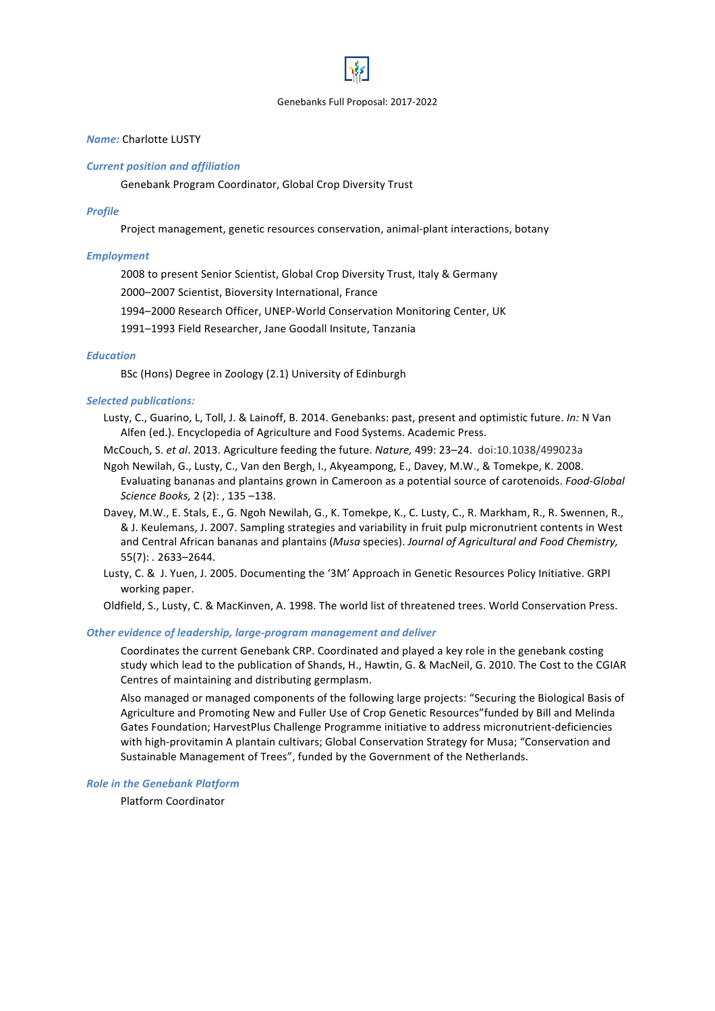# *Name:* Charlotte LUSTY

#### *Current position and affiliation*

Genebank Program Coordinator, Global Crop Diversity Trust

#### *Profile*

Project management, genetic resources conservation, animal-plant interactions, botany

### *Employment*

2008 to present Senior Scientist, Global Crop Diversity Trust, Italy & Germany

2000–2007 Scientist, Bioversity International, France

1994–2000 Research Officer, UNEP-World Conservation Monitoring Center, UK

1991-1993 Field Researcher, Jane Goodall Insitute, Tanzania

### *Education*

BSc (Hons) Degree in Zoology (2.1) University of Edinburgh

### *Selected publications:*

Lusty, C., Guarino, L, Toll, J. & Lainoff, B. 2014. Genebanks: past, present and optimistic future. *In:* N Van Alfen (ed.). Encyclopedia of Agriculture and Food Systems. Academic Press.

McCouch, S. *et al*. 2013. Agriculture feeding the future. *Nature,* 499: 23–24. doi:10.1038/499023a

- Ngoh Newilah, G., Lusty, C., Van den Bergh, I., Akyeampong, E., Davey, M.W., & Tomekpe, K. 2008. Evaluating bananas and plantains grown in Cameroon as a potential source of carotenoids. *Food-Global Science Books, 2 (2): , 135 -138.*
- Davey, M.W., E. Stals, E., G. Ngoh Newilah, G., K. Tomekpe, K., C. Lusty, C., R. Markham, R., R. Swennen, R., & J. Keulemans, J. 2007. Sampling strategies and variability in fruit pulp micronutrient contents in West and Central African bananas and plantains (*Musa* species). *Journal of Agricultural and Food Chemistry*, 55(7): *.* 2633–2644.
- Lusty, C. & J. Yuen, J. 2005. Documenting the '3M' Approach in Genetic Resources Policy Initiative. GRPI working paper.

Oldfield, S., Lusty, C. & MacKinven, A. 1998. The world list of threatened trees. World Conservation Press.

#### **Other evidence of leadership, large-program management and deliver**

Coordinates the current Genebank CRP. Coordinated and played a key role in the genebank costing study which lead to the publication of Shands, H., Hawtin, G. & MacNeil, G. 2010. The Cost to the CGIAR Centres of maintaining and distributing germplasm.

Also managed or managed components of the following large projects: "Securing the Biological Basis of Agriculture and Promoting New and Fuller Use of Crop Genetic Resources" funded by Bill and Melinda Gates Foundation; HarvestPlus Challenge Programme initiative to address micronutrient-deficiencies with high-provitamin A plantain cultivars; Global Conservation Strategy for Musa; "Conservation and Sustainable Management of Trees", funded by the Government of the Netherlands.

#### **Role in the Genebank Platform**

Platform Coordinator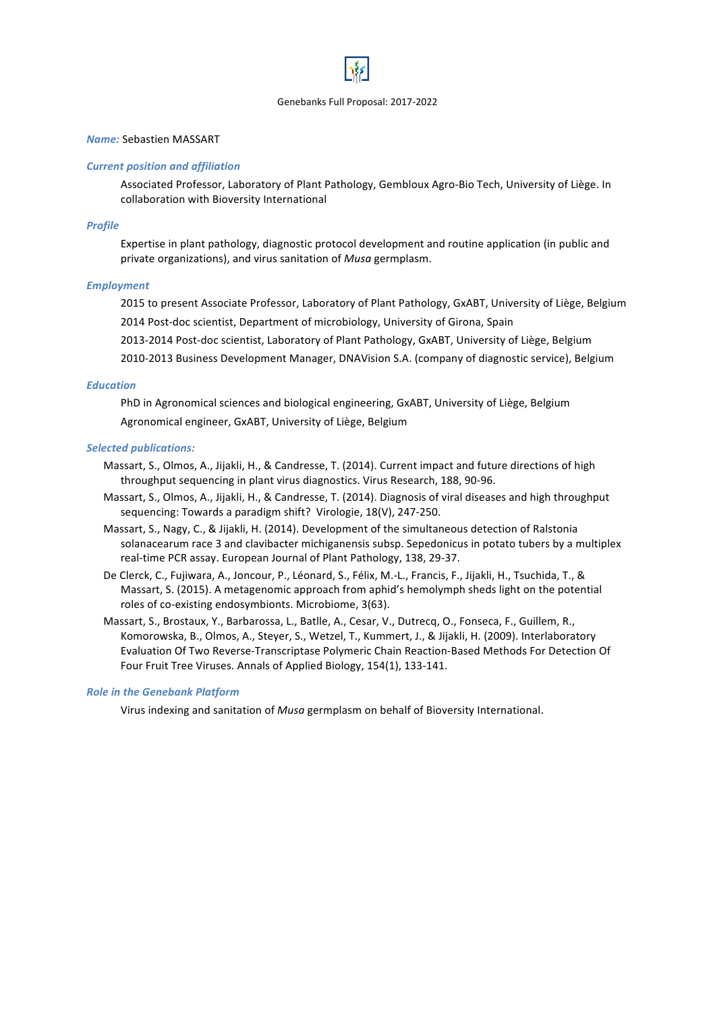# *Name:* Sebastien MASSART

### *Current position and affiliation*

Associated Professor, Laboratory of Plant Pathology, Gembloux Agro-Bio Tech, University of Liège. In collaboration with Bioversity International

### *Profile*

Expertise in plant pathology, diagnostic protocol development and routine application (in public and private organizations), and virus sanitation of *Musa* germplasm.

#### *Employment*

2015 to present Associate Professor, Laboratory of Plant Pathology, GxABT, University of Liège, Belgium 2014 Post-doc scientist, Department of microbiology, University of Girona, Spain

2013-2014 Post-doc scientist, Laboratory of Plant Pathology, GxABT, University of Liège, Belgium

2010-2013 Business Development Manager, DNAVision S.A. (company of diagnostic service), Belgium

#### *Education*

PhD in Agronomical sciences and biological engineering, GxABT, University of Liège, Belgium Agronomical engineer, GxABT, University of Liège, Belgium

#### *Selected publications:*

- Massart, S., Olmos, A., Jijakli, H., & Candresse, T. (2014). Current impact and future directions of high throughput sequencing in plant virus diagnostics. Virus Research, 188, 90-96.
- Massart, S., Olmos, A., Jijakli, H., & Candresse, T. (2014). Diagnosis of viral diseases and high throughput sequencing: Towards a paradigm shift? Virologie, 18(V), 247-250.
- Massart, S., Nagy, C., & Jijakli, H. (2014). Development of the simultaneous detection of Ralstonia solanacearum race 3 and clavibacter michiganensis subsp. Sepedonicus in potato tubers by a multiplex real-time PCR assay. European Journal of Plant Pathology, 138, 29-37.
- De Clerck, C., Fujiwara, A., Joncour, P., Léonard, S., Félix, M.-L., Francis, F., Jijakli, H., Tsuchida, T., & Massart, S. (2015). A metagenomic approach from aphid's hemolymph sheds light on the potential roles of co-existing endosymbionts. Microbiome, 3(63).
- Massart, S., Brostaux, Y., Barbarossa, L., Batlle, A., Cesar, V., Dutrecq, O., Fonseca, F., Guillem, R., Komorowska, B., Olmos, A., Steyer, S., Wetzel, T., Kummert, J., & Jijakli, H. (2009). Interlaboratory Evaluation Of Two Reverse-Transcriptase Polymeric Chain Reaction-Based Methods For Detection Of Four Fruit Tree Viruses. Annals of Applied Biology, 154(1), 133-141.

### **Role in the Genebank Platform**

Virus indexing and sanitation of *Musa* germplasm on behalf of Bioversity International.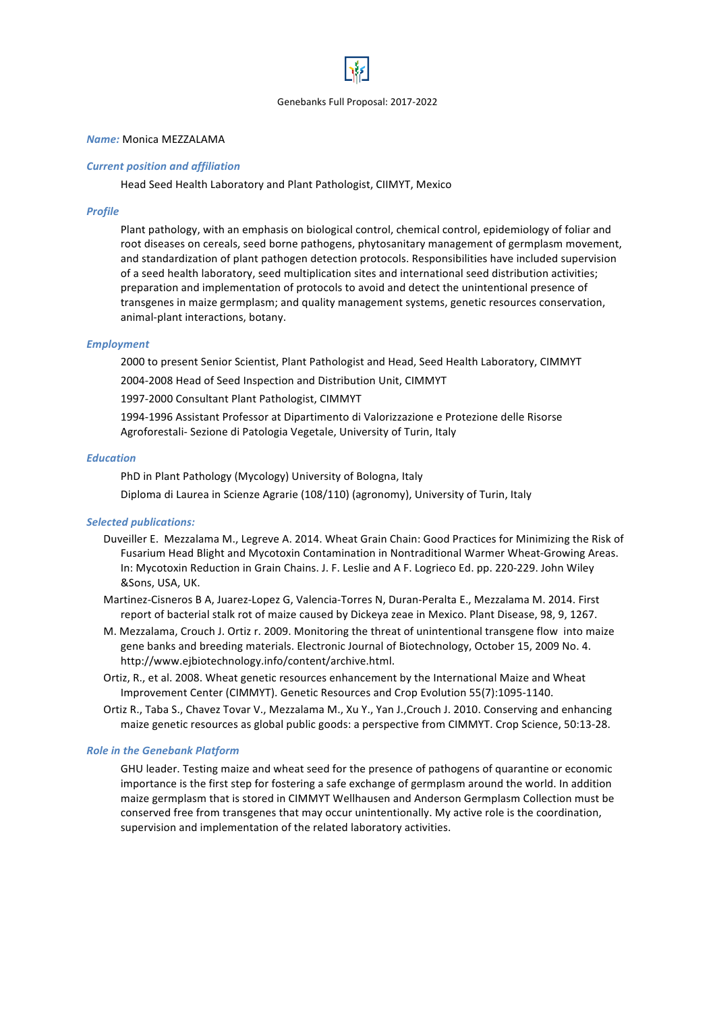

# *Name:* Monica MEZZALAMA

### *Current position and affiliation*

Head Seed Health Laboratory and Plant Pathologist, CIIMYT, Mexico

#### *Profile*

Plant pathology, with an emphasis on biological control, chemical control, epidemiology of foliar and root diseases on cereals, seed borne pathogens, phytosanitary management of germplasm movement, and standardization of plant pathogen detection protocols. Responsibilities have included supervision of a seed health laboratory, seed multiplication sites and international seed distribution activities; preparation and implementation of protocols to avoid and detect the unintentional presence of transgenes in maize germplasm; and quality management systems, genetic resources conservation, animal-plant interactions, botany.

#### *Employment*

2000 to present Senior Scientist, Plant Pathologist and Head, Seed Health Laboratory, CIMMYT

2004-2008 Head of Seed Inspection and Distribution Unit, CIMMYT

1997-2000 Consultant Plant Pathologist, CIMMYT

1994-1996 Assistant Professor at Dipartimento di Valorizzazione e Protezione delle Risorse Agroforestali- Sezione di Patologia Vegetale, University of Turin, Italy

### *Education*

PhD in Plant Pathology (Mycology) University of Bologna, Italy

Diploma di Laurea in Scienze Agrarie (108/110) (agronomy), University of Turin, Italy

### *Selected publications:*

- Duveiller E. Mezzalama M., Legreve A. 2014. Wheat Grain Chain: Good Practices for Minimizing the Risk of Fusarium Head Blight and Mycotoxin Contamination in Nontraditional Warmer Wheat-Growing Areas. In: Mycotoxin Reduction in Grain Chains. J. F. Leslie and A F. Logrieco Ed. pp. 220-229. John Wiley &Sons, USA, UK.
- Martinez-Cisneros B A, Juarez-Lopez G, Valencia-Torres N, Duran-Peralta E., Mezzalama M, 2014. First report of bacterial stalk rot of maize caused by Dickeya zeae in Mexico. Plant Disease, 98, 9, 1267.
- M. Mezzalama, Crouch J. Ortiz r. 2009. Monitoring the threat of unintentional transgene flow into maize gene banks and breeding materials. Electronic Journal of Biotechnology, October 15, 2009 No. 4. http://www.ejbiotechnology.info/content/archive.html.
- Ortiz, R., et al. 2008. Wheat genetic resources enhancement by the International Maize and Wheat Improvement Center (CIMMYT). Genetic Resources and Crop Evolution 55(7):1095-1140.
- Ortiz R., Taba S., Chavez Tovar V., Mezzalama M., Xu Y., Yan J., Crouch J. 2010. Conserving and enhancing maize genetic resources as global public goods: a perspective from CIMMYT. Crop Science, 50:13-28.

#### **Role in the Genebank Platform**

GHU leader. Testing maize and wheat seed for the presence of pathogens of quarantine or economic importance is the first step for fostering a safe exchange of germplasm around the world. In addition maize germplasm that is stored in CIMMYT Wellhausen and Anderson Germplasm Collection must be conserved free from transgenes that may occur unintentionally. My active role is the coordination, supervision and implementation of the related laboratory activities.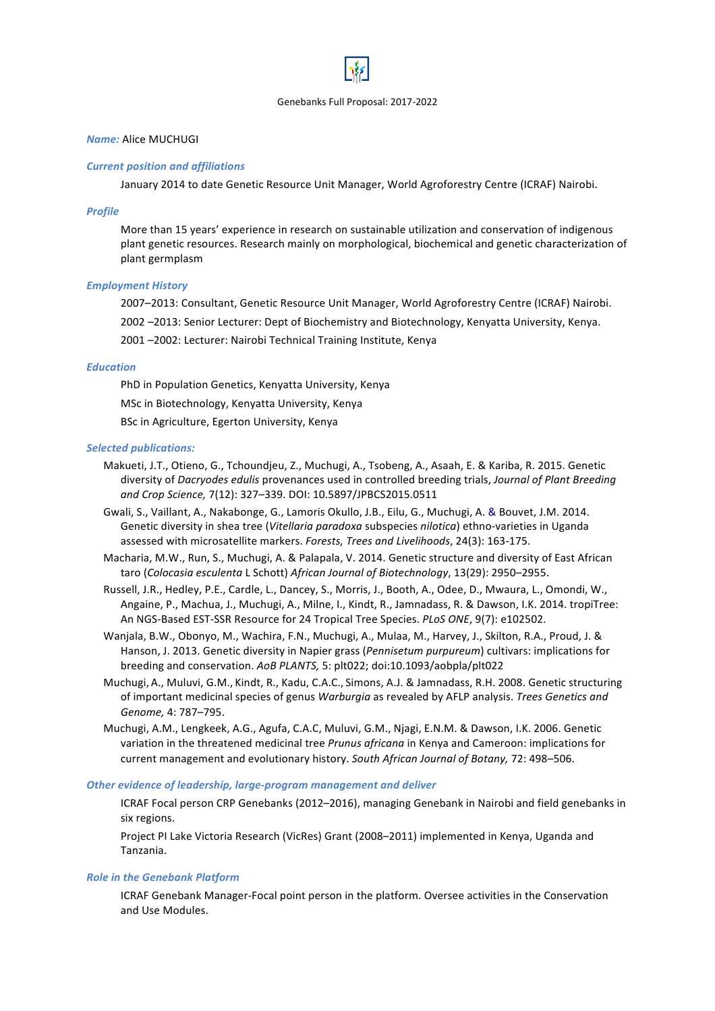# *Name:* Alice MUCHUGI

#### *Current position and affiliations*

January 2014 to date Genetic Resource Unit Manager, World Agroforestry Centre (ICRAF) Nairobi.

#### *Profile*

More than 15 years' experience in research on sustainable utilization and conservation of indigenous plant genetic resources. Research mainly on morphological, biochemical and genetic characterization of plant germplasm 

#### *Employment History*

2007–2013: Consultant, Genetic Resource Unit Manager, World Agroforestry Centre (ICRAF) Nairobi.

2002 -2013: Senior Lecturer: Dept of Biochemistry and Biotechnology, Kenyatta University, Kenya.

2001 -2002: Lecturer: Nairobi Technical Training Institute, Kenya

### *Education*

PhD in Population Genetics, Kenyatta University, Kenya MSc in Biotechnology, Kenyatta University, Kenya BSc in Agriculture, Egerton University, Kenya

#### *Selected publications:*

- Makueti, J.T., Otieno, G., Tchoundjeu, Z., Muchugi, A., Tsobeng, A., Asaah, E. & Kariba, R. 2015. Genetic diversity of *Dacryodes edulis* provenances used in controlled breeding trials, *Journal of Plant Breeding* and Crop Science, 7(12): 327-339. DOI: 10.5897/JPBCS2015.0511
- Gwali, S., Vaillant, A., Nakabonge, G., Lamoris Okullo, J.B., Eilu, G., Muchugi, A. & Bouvet, J.M. 2014. Genetic diversity in shea tree (Vitellaria paradoxa subspecies *nilotica*) ethno-varieties in Uganda assessed with microsatellite markers. Forests, Trees and Livelihoods, 24(3): 163-175.
- Macharia, M.W., Run, S., Muchugi, A. & Palapala, V. 2014. Genetic structure and diversity of East African taro (*Colocasia esculenta* L Schott) *African Journal of Biotechnology*, 13(29): 2950–2955.
- Russell, J.R., Hedley, P.E., Cardle, L., Dancey, S., Morris, J., Booth, A., Odee, D., Mwaura, L., Omondi, W., Angaine, P., Machua, J., Muchugi, A., Milne, I., Kindt, R., Jamnadass, R. & Dawson, I.K. 2014. tropiTree: An NGS-Based EST-SSR Resource for 24 Tropical Tree Species. *PLoS ONE*, 9(7): e102502.
- Wanjala, B.W., Obonyo, M., Wachira, F.N., Muchugi, A., Mulaa, M., Harvey, J., Skilton, R.A., Proud, J. & Hanson, J. 2013. Genetic diversity in Napier grass (*Pennisetum purpureum*) cultivars: implications for breeding and conservation. AoB PLANTS, 5: plt022; doi:10.1093/aobpla/plt022
- Muchugi, A., Muluvi, G.M., Kindt, R., Kadu, C.A.C., Simons, A.J. & Jamnadass, R.H. 2008. Genetic structuring of important medicinal species of genus *Warburgia* as revealed by AFLP analysis. *Trees Genetics and Genome,* 4: 787–795.
- Muchugi, A.M., Lengkeek, A.G., Agufa, C.A.C, Muluvi, G.M., Njagi, E.N.M. & Dawson, I.K. 2006. Genetic variation in the threatened medicinal tree *Prunus africana* in Kenya and Cameroon: implications for current management and evolutionary history. South African Journal of Botany, 72: 498–506.

### **Other evidence of leadership, large-program management and deliver**

ICRAF Focal person CRP Genebanks (2012–2016), managing Genebank in Nairobi and field genebanks in six regions.

Project PI Lake Victoria Research (VicRes) Grant (2008–2011) implemented in Kenya, Uganda and Tanzania.

#### **Role in the Genebank Platform**

ICRAF Genebank Manager-Focal point person in the platform. Oversee activities in the Conservation and Use Modules.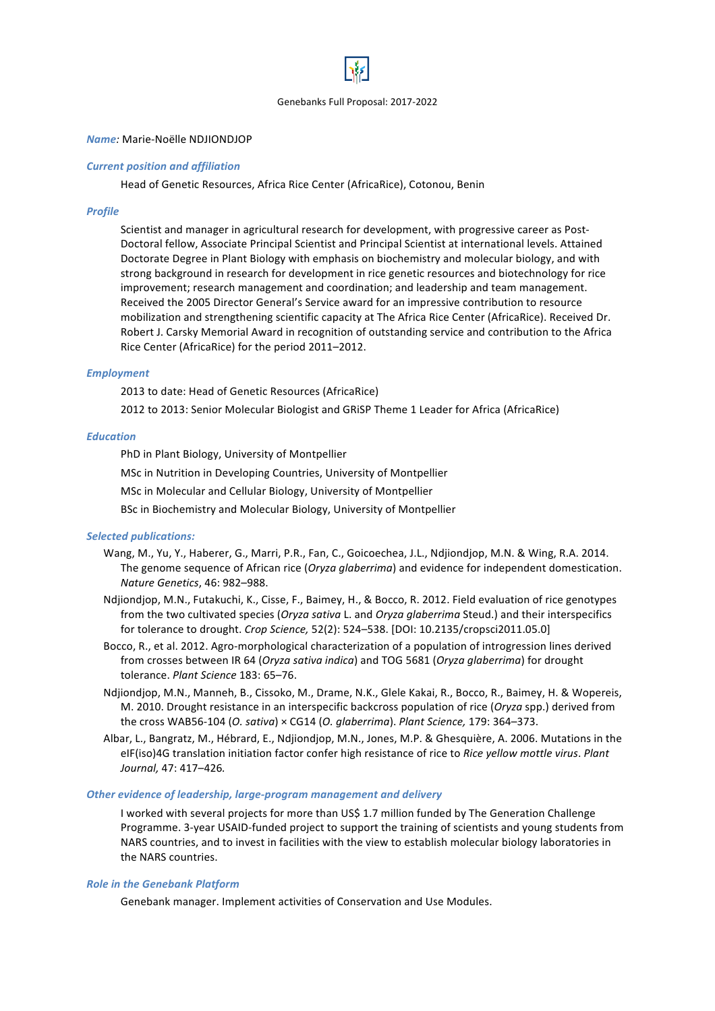

### *Name:* Marie-Noëlle NDJIONDJOP

### *Current position and affiliation*

Head of Genetic Resources, Africa Rice Center (AfricaRice), Cotonou, Benin

### *Profile*

Scientist and manager in agricultural research for development, with progressive career as Post-Doctoral fellow, Associate Principal Scientist and Principal Scientist at international levels. Attained Doctorate Degree in Plant Biology with emphasis on biochemistry and molecular biology, and with strong background in research for development in rice genetic resources and biotechnology for rice improvement; research management and coordination; and leadership and team management. Received the 2005 Director General's Service award for an impressive contribution to resource mobilization and strengthening scientific capacity at The Africa Rice Center (AfricaRice). Received Dr. Robert J. Carsky Memorial Award in recognition of outstanding service and contribution to the Africa Rice Center (AfricaRice) for the period 2011–2012.

### *Employment*

2013 to date: Head of Genetic Resources (AfricaRice)

2012 to 2013: Senior Molecular Biologist and GRISP Theme 1 Leader for Africa (AfricaRice)

# *Education*

PhD in Plant Biology, University of Montpellier

MSc in Nutrition in Developing Countries, University of Montpellier

MSc in Molecular and Cellular Biology, University of Montpellier

BSc in Biochemistry and Molecular Biology, University of Montpellier

### *Selected publications:*

- Wang, M., Yu, Y., Haberer, G., Marri, P.R., Fan, C., Goicoechea, J.L., Ndjiondjop, M.N. & Wing, R.A. 2014. The genome sequence of African rice (*Oryza glaberrima*) and evidence for independent domestication. *Nature Genetics*, 46: 982–988.
- Ndiiondiop, M.N., Futakuchi, K., Cisse, F., Baimey, H., & Bocco, R. 2012. Field evaluation of rice genotypes from the two cultivated species (*Oryza sativa* L. and *Oryza glaberrima* Steud.) and their interspecifics for tolerance to drought. *Crop Science*, 52(2): 524–538. [DOI: 10.2135/cropsci2011.05.0]
- Bocco, R., et al. 2012. Agro-morphological characterization of a population of introgression lines derived from crosses between IR 64 (*Oryza sativa indica*) and TOG 5681 (*Oryza glaberrima*) for drought tolerance. *Plant Science* 183: 65–76.
- Ndjiondjop, M.N., Manneh, B., Cissoko, M., Drame, N.K., Glele Kakai, R., Bocco, R., Baimey, H. & Wopereis, M. 2010. Drought resistance in an interspecific backcross population of rice (*Oryza* spp.) derived from the cross WAB56-104 (*O. sativa*) × CG14 (*O. glaberrima*). *Plant Science*, 179: 364–373.
- Albar, L., Bangratz, M., Hébrard, E., Ndjiondjop, M.N., Jones, M.P. & Ghesquière, A. 2006. Mutations in the eIF(iso)4G translation initiation factor confer high resistance of rice to Rice yellow mottle virus. Plant *Journal,* 47: 417–426*.*

### **Other evidence of leadership, large-program management and delivery**

I worked with several projects for more than US\$ 1.7 million funded by The Generation Challenge Programme. 3-year USAID-funded project to support the training of scientists and young students from NARS countries, and to invest in facilities with the view to establish molecular biology laboratories in the NARS countries.

### **Role in the Genebank Platform**

Genebank manager. Implement activities of Conservation and Use Modules.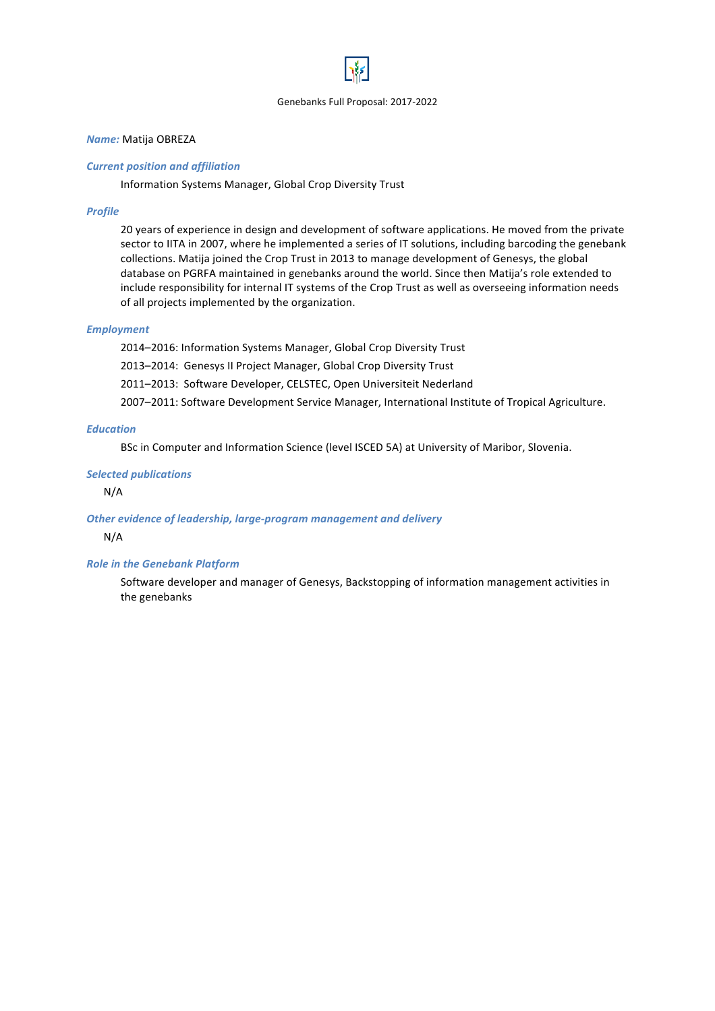# *Name:* Matija OBREZA

# *Current position and affiliation*

Information Systems Manager, Global Crop Diversity Trust

### *Profile*

20 years of experience in design and development of software applications. He moved from the private sector to IITA in 2007, where he implemented a series of IT solutions, including barcoding the genebank collections. Matija joined the Crop Trust in 2013 to manage development of Genesys, the global database on PGRFA maintained in genebanks around the world. Since then Matija's role extended to include responsibility for internal IT systems of the Crop Trust as well as overseeing information needs of all projects implemented by the organization.

### *Employment*

2014–2016: Information Systems Manager, Global Crop Diversity Trust 2013-2014: Genesys II Project Manager, Global Crop Diversity Trust 2011-2013: Software Developer, CELSTEC, Open Universiteit Nederland 2007-2011: Software Development Service Manager, International Institute of Tropical Agriculture.

# *Education*

BSc in Computer and Information Science (level ISCED 5A) at University of Maribor, Slovenia.

#### *Selected publications*

N/A

### **Other evidence of leadership, large-program management and delivery**

N/A

### **Role in the Genebank Platform**

Software developer and manager of Genesys, Backstopping of information management activities in the genebanks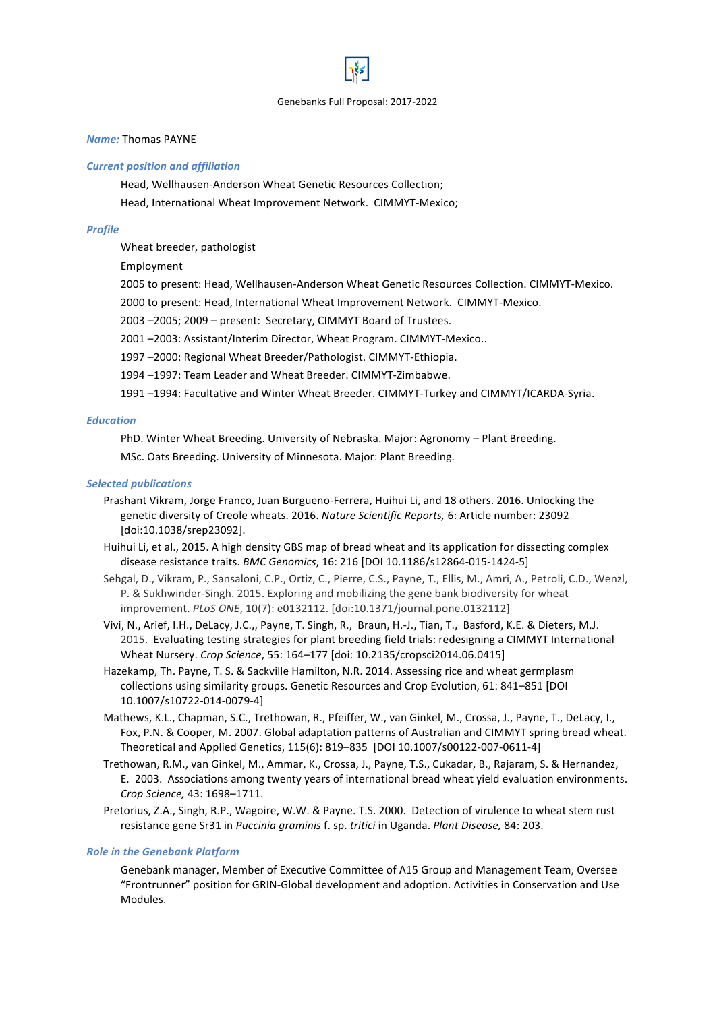### *Name:* Thomas PAYNE

#### *Current position and affiliation*

Head, Wellhausen-Anderson Wheat Genetic Resources Collection; Head, International Wheat Improvement Network. CIMMYT-Mexico;

### *Profile*

Wheat breeder, pathologist

Employment

2005 to present: Head, Wellhausen-Anderson Wheat Genetic Resources Collection. CIMMYT-Mexico.

2000 to present: Head, International Wheat Improvement Network. CIMMYT-Mexico.

2003 -2005; 2009 - present: Secretary, CIMMYT Board of Trustees.

2001 -2003: Assistant/Interim Director, Wheat Program. CIMMYT-Mexico..

1997 -2000: Regional Wheat Breeder/Pathologist. CIMMYT-Ethiopia.

1994 -1997: Team Leader and Wheat Breeder. CIMMYT-Zimbabwe.

1991 -1994: Facultative and Winter Wheat Breeder. CIMMYT-Turkey and CIMMYT/ICARDA-Syria.

### *Education*

PhD. Winter Wheat Breeding. University of Nebraska. Major: Agronomy – Plant Breeding.

MSc. Oats Breeding. University of Minnesota. Major: Plant Breeding.

#### *Selected publications*

Prashant Vikram, Jorge Franco, Juan Burgueno-Ferrera, Huihui Li, and 18 others. 2016. Unlocking the genetic diversity of Creole wheats. 2016. *Nature Scientific Reports,* 6: Article number: 23092 [doi:10.1038/srep23092].

Huihui Li, et al., 2015. A high density GBS map of bread wheat and its application for dissecting complex disease resistance traits. *BMC Genomics*, 16: 216 [DOI 10.1186/s12864-015-1424-5]

- Sehgal, D., Vikram, P., Sansaloni, C.P., Ortiz, C., Pierre, C.S., Payne, T., Ellis, M., Amri, A., Petroli, C.D., Wenzl, P. & Sukhwinder-Singh. 2015. Exploring and mobilizing the gene bank biodiversity for wheat improvement. *PLoS ONE*, 10(7): e0132112. [doi:10.1371/journal.pone.0132112]
- Vivi, N., Arief, I.H., DeLacy, J.C.,, Payne, T. Singh, R., Braun, H.-J., Tian, T., Basford, K.E. & Dieters, M.J. 2015. Evaluating testing strategies for plant breeding field trials: redesigning a CIMMYT International Wheat Nursery. *Crop Science*, 55: 164-177 [doi: 10.2135/cropsci2014.06.0415]
- Hazekamp, Th. Payne, T. S. & Sackville Hamilton, N.R. 2014. Assessing rice and wheat germplasm collections using similarity groups. Genetic Resources and Crop Evolution, 61: 841–851 [DOI 10.1007/s10722-014-0079-4]
- Mathews, K.L., Chapman, S.C., Trethowan, R., Pfeiffer, W., van Ginkel, M., Crossa, J., Payne, T., DeLacy, I., Fox, P.N. & Cooper, M. 2007. Global adaptation patterns of Australian and CIMMYT spring bread wheat. Theoretical and Applied Genetics, 115(6): 819-835 [DOI 10.1007/s00122-007-0611-4]
- Trethowan, R.M., van Ginkel, M., Ammar, K., Crossa, J., Payne, T.S., Cukadar, B., Rajaram, S. & Hernandez, E. 2003. Associations among twenty years of international bread wheat yield evaluation environments. *Crop Science,* 43: 1698–1711.
- Pretorius, Z.A., Singh, R.P., Wagoire, W.W. & Payne. T.S. 2000. Detection of virulence to wheat stem rust resistance gene Sr31 in *Puccinia graminis* f. sp. *tritici* in Uganda. *Plant Disease*, 84: 203.

### **Role in the Genebank Platform**

Genebank manager, Member of Executive Committee of A15 Group and Management Team, Oversee "Frontrunner" position for GRIN-Global development and adoption. Activities in Conservation and Use Modules.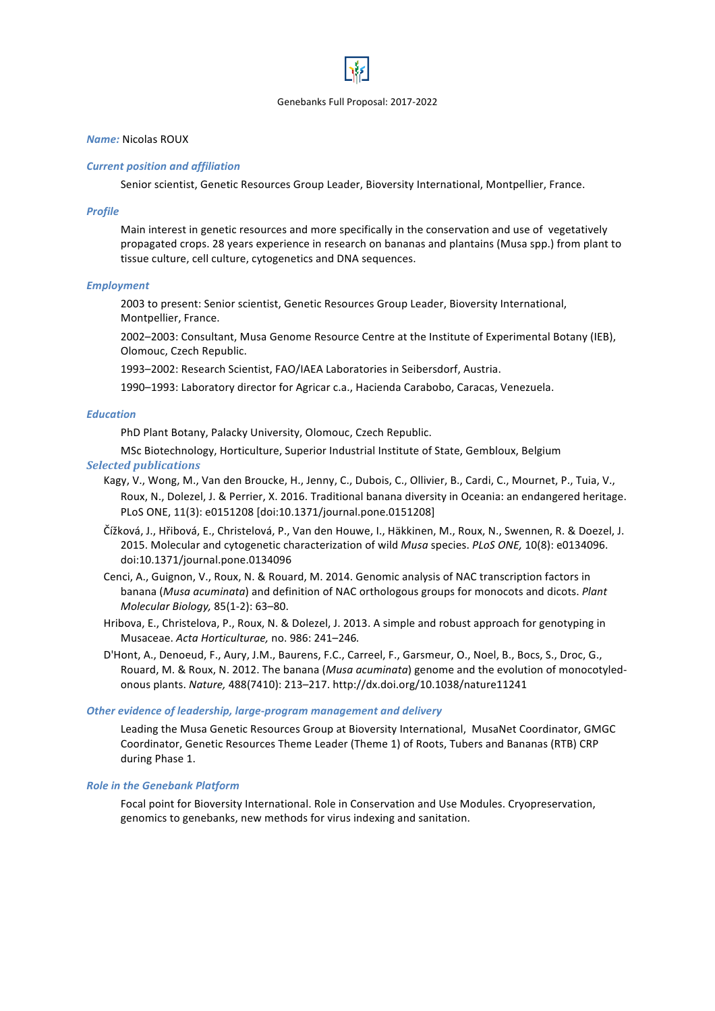### *Name:* Nicolas ROUX

### *Current position and affiliation*

Senior scientist, Genetic Resources Group Leader, Bioversity International, Montpellier, France.

#### *Profile*

Main interest in genetic resources and more specifically in the conservation and use of vegetatively propagated crops. 28 years experience in research on bananas and plantains (Musa spp.) from plant to tissue culture, cell culture, cytogenetics and DNA sequences.

#### *Employment*

2003 to present: Senior scientist, Genetic Resources Group Leader, Bioversity International, Montpellier, France.

2002–2003: Consultant, Musa Genome Resource Centre at the Institute of Experimental Botany (IEB), Olomouc, Czech Republic. 

1993-2002: Research Scientist, FAO/IAEA Laboratories in Seibersdorf, Austria.

1990-1993: Laboratory director for Agricar c.a., Hacienda Carabobo, Caracas, Venezuela.

# *Education*

PhD Plant Botany, Palacky University, Olomouc, Czech Republic.

MSc Biotechnology, Horticulture, Superior Industrial Institute of State, Gembloux, Belgium *Selected publications*

- Kagy, V., Wong, M., Van den Broucke, H., Jenny, C., Dubois, C., Ollivier, B., Cardi, C., Mournet, P., Tuia, V., Roux, N., Dolezel, J. & Perrier, X. 2016. Traditional banana diversity in Oceania: an endangered heritage. PLoS ONE, 11(3): e0151208 [doi:10.1371/journal.pone.0151208]
- Čížková, J., Hřibová, E., Christelová, P., Van den Houwe, I., Häkkinen, M., Roux, N., Swennen, R. & Doezel, J. 2015. Molecular and cytogenetic characterization of wild *Musa* species. *PLoS ONE*, 10(8): e0134096. doi:10.1371/journal.pone.0134096
- Cenci, A., Guignon, V., Roux, N. & Rouard, M. 2014. Genomic analysis of NAC transcription factors in banana (*Musa acuminata*) and definition of NAC orthologous groups for monocots and dicots. *Plant Molecular Biology,* 85(1-2): 63–80.
- Hribova, E., Christelova, P., Roux, N. & Dolezel, J. 2013. A simple and robust approach for genotyping in Musaceae. *Acta Horticulturae,* no. 986: 241–246*.*
- D'Hont, A., Denoeud, F., Aury, J.M., Baurens, F.C., Carreel, F., Garsmeur, O., Noel, B., Bocs, S., Droc, G., Rouard, M. & Roux, N. 2012. The banana (*Musa acuminata*) genome and the evolution of monocotyledonous plants. *Nature,* 488(7410): 213–217. http://dx.doi.org/10.1038/nature11241

### **Other evidence of leadership, large-program management and delivery**

Leading the Musa Genetic Resources Group at Bioversity International, MusaNet Coordinator, GMGC Coordinator, Genetic Resources Theme Leader (Theme 1) of Roots, Tubers and Bananas (RTB) CRP during Phase 1.

### **Role in the Genebank Platform**

Focal point for Bioversity International. Role in Conservation and Use Modules. Cryopreservation, genomics to genebanks, new methods for virus indexing and sanitation.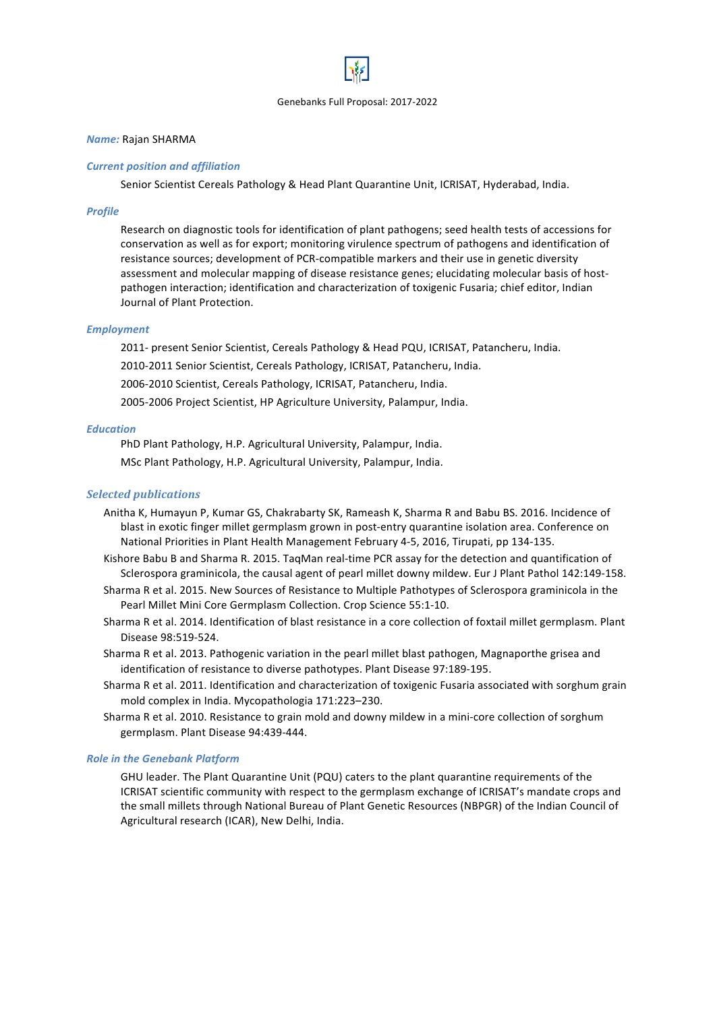### *Name:* Rajan SHARMA

### *Current position and affiliation*

Senior Scientist Cereals Pathology & Head Plant Quarantine Unit, ICRISAT, Hyderabad, India.

# *Profile*

Research on diagnostic tools for identification of plant pathogens; seed health tests of accessions for conservation as well as for export; monitoring virulence spectrum of pathogens and identification of resistance sources; development of PCR-compatible markers and their use in genetic diversity assessment and molecular mapping of disease resistance genes; elucidating molecular basis of hostpathogen interaction; identification and characterization of toxigenic Fusaria; chief editor, Indian Journal of Plant Protection.

# *Employment*

2011- present Senior Scientist, Cereals Pathology & Head PQU, ICRISAT, Patancheru, India. 2010-2011 Senior Scientist, Cereals Pathology, ICRISAT, Patancheru, India. 2006-2010 Scientist, Cereals Pathology, ICRISAT, Patancheru, India. 2005-2006 Project Scientist, HP Agriculture University, Palampur, India.

# *Education*

PhD Plant Pathology, H.P. Agricultural University, Palampur, India. MSc Plant Pathology, H.P. Agricultural University, Palampur, India.

# *Selected publications*

Anitha K, Humayun P, Kumar GS, Chakrabarty SK, Rameash K, Sharma R and Babu BS. 2016. Incidence of blast in exotic finger millet germplasm grown in post-entry quarantine isolation area. Conference on National Priorities in Plant Health Management February 4-5, 2016, Tirupati, pp 134-135.

Kishore Babu B and Sharma R. 2015. TaqMan real-time PCR assay for the detection and quantification of Sclerospora graminicola, the causal agent of pearl millet downy mildew. Eur J Plant Pathol 142:149-158.

- Sharma R et al. 2015. New Sources of Resistance to Multiple Pathotypes of Sclerospora graminicola in the Pearl Millet Mini Core Germplasm Collection. Crop Science 55:1-10.
- Sharma R et al. 2014. Identification of blast resistance in a core collection of foxtail millet germplasm. Plant Disease 98:519-524.
- Sharma R et al. 2013. Pathogenic variation in the pearl millet blast pathogen, Magnaporthe grisea and identification of resistance to diverse pathotypes. Plant Disease 97:189-195.
- Sharma R et al. 2011. Identification and characterization of toxigenic Fusaria associated with sorghum grain mold complex in India. Mycopathologia 171:223-230.
- Sharma R et al. 2010. Resistance to grain mold and downy mildew in a mini-core collection of sorghum germplasm. Plant Disease 94:439-444.

### **Role in the Genebank Platform**

GHU leader. The Plant Quarantine Unit (PQU) caters to the plant quarantine requirements of the ICRISAT scientific community with respect to the germplasm exchange of ICRISAT's mandate crops and the small millets through National Bureau of Plant Genetic Resources (NBPGR) of the Indian Council of Agricultural research (ICAR), New Delhi, India.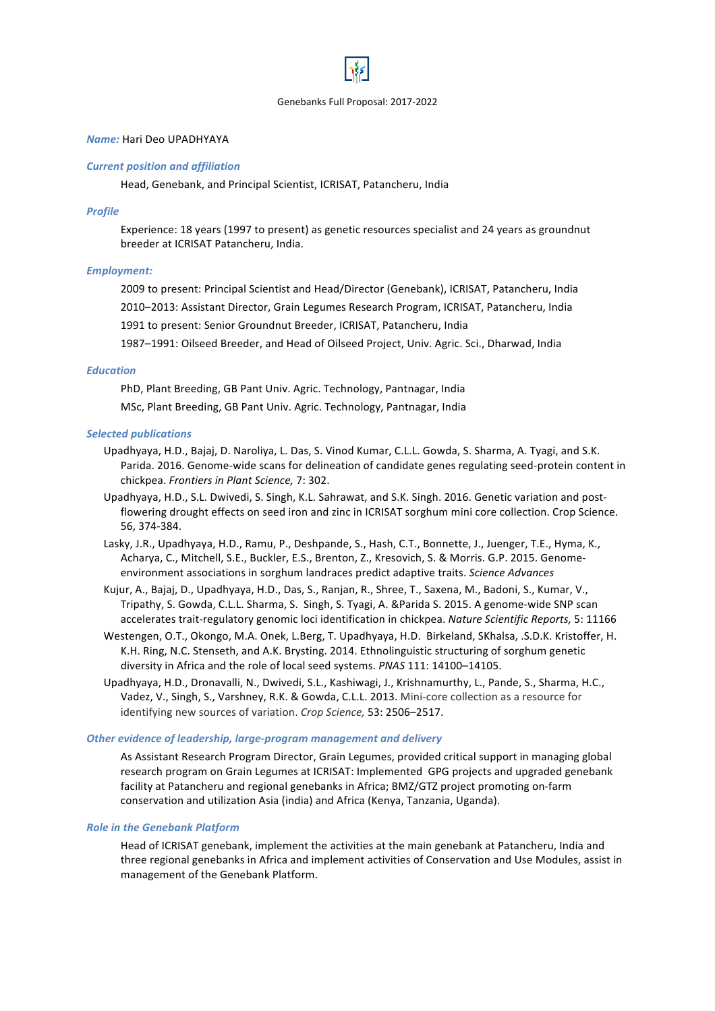# *Name:* Hari Deo UPADHYAYA

#### *Current position and affiliation*

Head, Genebank, and Principal Scientist, ICRISAT, Patancheru, India

#### *Profile*

Experience: 18 years (1997 to present) as genetic resources specialist and 24 years as groundnut breeder at ICRISAT Patancheru, India.

### *Employment:*

2009 to present: Principal Scientist and Head/Director (Genebank), ICRISAT, Patancheru, India

2010–2013: Assistant Director, Grain Legumes Research Program, ICRISAT, Patancheru, India

1991 to present: Senior Groundnut Breeder, ICRISAT, Patancheru, India

1987-1991: Oilseed Breeder, and Head of Oilseed Project, Univ. Agric. Sci., Dharwad, India

### *Education*

PhD, Plant Breeding, GB Pant Univ. Agric. Technology, Pantnagar, India MSc, Plant Breeding, GB Pant Univ. Agric. Technology, Pantnagar, India

#### *Selected publications*

- Upadhyaya, H.D., Bajaj, D. Naroliya, L. Das, S. Vinod Kumar, C.L.L. Gowda, S. Sharma, A. Tyagi, and S.K. Parida. 2016. Genome-wide scans for delineation of candidate genes regulating seed-protein content in chickpea. *Frontiers in Plant Science,* 7: 302.
- Upadhyaya, H.D., S.L. Dwivedi, S. Singh, K.L. Sahrawat, and S.K. Singh. 2016. Genetic variation and postflowering drought effects on seed iron and zinc in ICRISAT sorghum mini core collection. Crop Science. 56, 374-384.
- Lasky, J.R., Upadhyaya, H.D., Ramu, P., Deshpande, S., Hash, C.T., Bonnette, J., Juenger, T.E., Hyma, K., Acharya, C., Mitchell, S.E., Buckler, E.S., Brenton, Z., Kresovich, S. & Morris. G.P. 2015. Genomeenvironment associations in sorghum landraces predict adaptive traits. *Science Advances*
- Kujur, A., Bajaj, D., Upadhyaya, H.D., Das, S., Ranjan, R., Shree, T., Saxena, M., Badoni, S., Kumar, V., Tripathy, S. Gowda, C.L.L. Sharma, S. Singh, S. Tyagi, A. &Parida S. 2015. A genome-wide SNP scan accelerates trait-regulatory genomic loci identification in chickpea. *Nature Scientific Reports*, 5: 11166
- Westengen, O.T., Okongo, M.A. Onek, L.Berg, T. Upadhyaya, H.D. Birkeland, SKhalsa, .S.D.K. Kristoffer, H. K.H. Ring, N.C. Stenseth, and A.K. Brysting. 2014. Ethnolinguistic structuring of sorghum genetic diversity in Africa and the role of local seed systems. *PNAS* 111: 14100-14105.
- Upadhyaya, H.D., Dronavalli, N., Dwivedi, S.L., Kashiwagi, J., Krishnamurthy, L., Pande, S., Sharma, H.C., Vadez, V., Singh, S., Varshney, R.K. & Gowda, C.L.L. 2013. Mini-core collection as a resource for identifying new sources of variation. Crop Science, 53: 2506-2517.

#### **Other evidence of leadership, large-program management and delivery**

As Assistant Research Program Director, Grain Legumes, provided critical support in managing global research program on Grain Legumes at ICRISAT: Implemented GPG projects and upgraded genebank facility at Patancheru and regional genebanks in Africa; BMZ/GTZ project promoting on-farm conservation and utilization Asia (india) and Africa (Kenya, Tanzania, Uganda).

#### **Role in the Genebank Platform**

Head of ICRISAT genebank, implement the activities at the main genebank at Patancheru, India and three regional genebanks in Africa and implement activities of Conservation and Use Modules, assist in management of the Genebank Platform.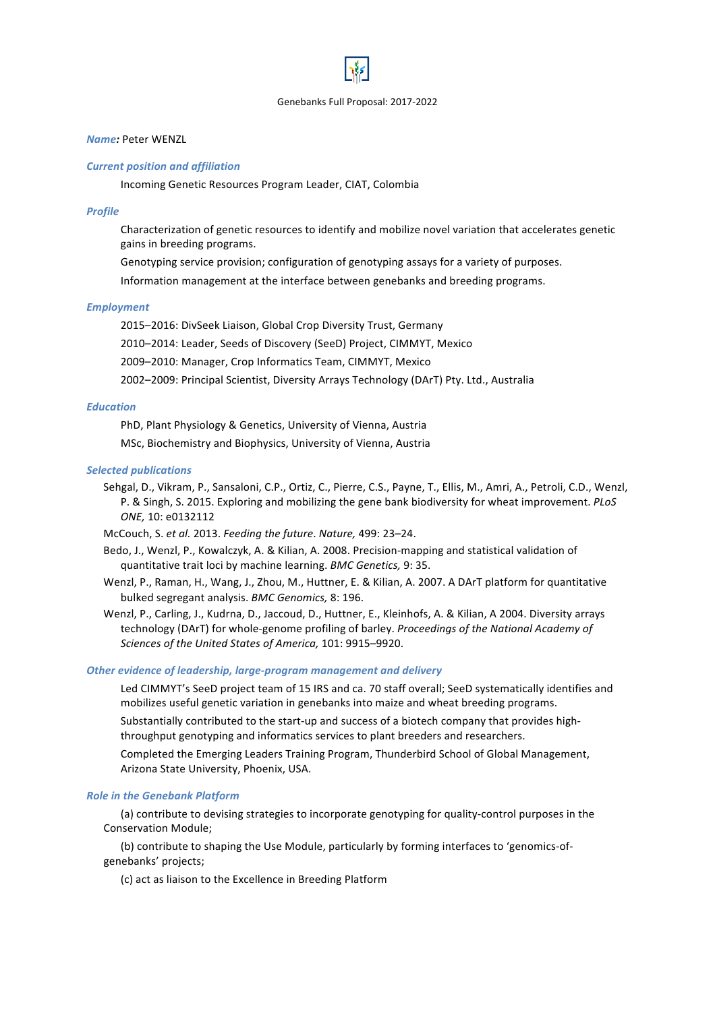# *Name:* Peter WENZL

#### *Current position and affiliation*

Incoming Genetic Resources Program Leader, CIAT, Colombia

#### *Profile*

Characterization of genetic resources to identify and mobilize novel variation that accelerates genetic gains in breeding programs.

Genotyping service provision; configuration of genotyping assays for a variety of purposes.

Information management at the interface between genebanks and breeding programs.

### *Employment*

2015–2016: DivSeek Liaison, Global Crop Diversity Trust, Germany

2010–2014: Leader, Seeds of Discovery (SeeD) Project, CIMMYT, Mexico

2009-2010: Manager, Crop Informatics Team, CIMMYT, Mexico

2002-2009: Principal Scientist, Diversity Arrays Technology (DArT) Pty. Ltd., Australia

### *Education*

PhD, Plant Physiology & Genetics, University of Vienna, Austria

MSc, Biochemistry and Biophysics, University of Vienna, Austria

#### *Selected publications*

Sehgal, D., Vikram, P., Sansaloni, C.P., Ortiz, C., Pierre, C.S., Payne, T., Ellis, M., Amri, A., Petroli, C.D., Wenzl, P. & Singh, S. 2015. Exploring and mobilizing the gene bank biodiversity for wheat improvement. *PLoS ONE,* 10: e0132112

McCouch, S. et al. 2013. Feeding the future. Nature, 499: 23-24.

- Bedo, J., Wenzl, P., Kowalczyk, A. & Kilian, A. 2008. Precision-mapping and statistical validation of quantitative trait loci by machine learning. *BMC Genetics*, 9: 35.
- Wenzl, P., Raman, H., Wang, J., Zhou, M., Huttner, E. & Kilian, A. 2007. A DArT platform for quantitative bulked segregant analysis. *BMC Genomics,* 8: 196.

Wenzl, P., Carling, J., Kudrna, D., Jaccoud, D., Huttner, E., Kleinhofs, A. & Kilian, A 2004. Diversity arrays technology (DArT) for whole-genome profiling of barley. *Proceedings of the National Academy of* Sciences of the United States of America, 101: 9915–9920.

#### **Other evidence of leadership, large-program management and delivery**

Led CIMMYT's SeeD project team of 15 IRS and ca. 70 staff overall; SeeD systematically identifies and mobilizes useful genetic variation in genebanks into maize and wheat breeding programs.

Substantially contributed to the start-up and success of a biotech company that provides highthroughput genotyping and informatics services to plant breeders and researchers.

Completed the Emerging Leaders Training Program, Thunderbird School of Global Management, Arizona State University, Phoenix, USA.

#### **Role in the Genebank Platform**

(a) contribute to devising strategies to incorporate genotyping for quality-control purposes in the Conservation Module; 

(b) contribute to shaping the Use Module, particularly by forming interfaces to 'genomics-ofgenebanks' projects; 

(c) act as liaison to the Excellence in Breeding Platform